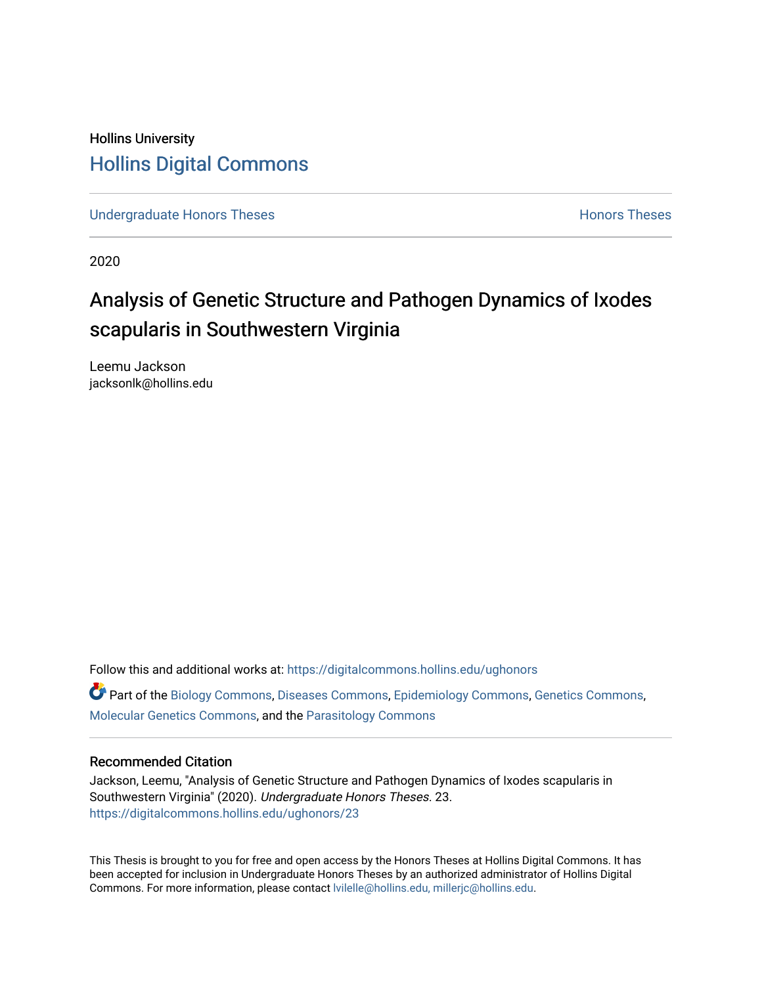# Hollins University [Hollins Digital Commons](https://digitalcommons.hollins.edu/)

[Undergraduate Honors Theses](https://digitalcommons.hollins.edu/ughonors) **Honors** Theses **Honors** Theses

2020

# Analysis of Genetic Structure and Pathogen Dynamics of Ixodes scapularis in Southwestern Virginia

Leemu Jackson jacksonlk@hollins.edu

Follow this and additional works at: [https://digitalcommons.hollins.edu/ughonors](https://digitalcommons.hollins.edu/ughonors?utm_source=digitalcommons.hollins.edu%2Fughonors%2F23&utm_medium=PDF&utm_campaign=PDFCoverPages) Part of the [Biology Commons,](http://network.bepress.com/hgg/discipline/41?utm_source=digitalcommons.hollins.edu%2Fughonors%2F23&utm_medium=PDF&utm_campaign=PDFCoverPages) [Diseases Commons](http://network.bepress.com/hgg/discipline/813?utm_source=digitalcommons.hollins.edu%2Fughonors%2F23&utm_medium=PDF&utm_campaign=PDFCoverPages), [Epidemiology Commons](http://network.bepress.com/hgg/discipline/740?utm_source=digitalcommons.hollins.edu%2Fughonors%2F23&utm_medium=PDF&utm_campaign=PDFCoverPages), [Genetics Commons](http://network.bepress.com/hgg/discipline/29?utm_source=digitalcommons.hollins.edu%2Fughonors%2F23&utm_medium=PDF&utm_campaign=PDFCoverPages),

[Molecular Genetics Commons](http://network.bepress.com/hgg/discipline/31?utm_source=digitalcommons.hollins.edu%2Fughonors%2F23&utm_medium=PDF&utm_campaign=PDFCoverPages), and the [Parasitology Commons](http://network.bepress.com/hgg/discipline/39?utm_source=digitalcommons.hollins.edu%2Fughonors%2F23&utm_medium=PDF&utm_campaign=PDFCoverPages)

#### Recommended Citation

Jackson, Leemu, "Analysis of Genetic Structure and Pathogen Dynamics of Ixodes scapularis in Southwestern Virginia" (2020). Undergraduate Honors Theses. 23. [https://digitalcommons.hollins.edu/ughonors/23](https://digitalcommons.hollins.edu/ughonors/23?utm_source=digitalcommons.hollins.edu%2Fughonors%2F23&utm_medium=PDF&utm_campaign=PDFCoverPages) 

This Thesis is brought to you for free and open access by the Honors Theses at Hollins Digital Commons. It has been accepted for inclusion in Undergraduate Honors Theses by an authorized administrator of Hollins Digital Commons. For more information, please contact [lvilelle@hollins.edu, millerjc@hollins.edu.](mailto:lvilelle@hollins.edu,%20millerjc@hollins.edu)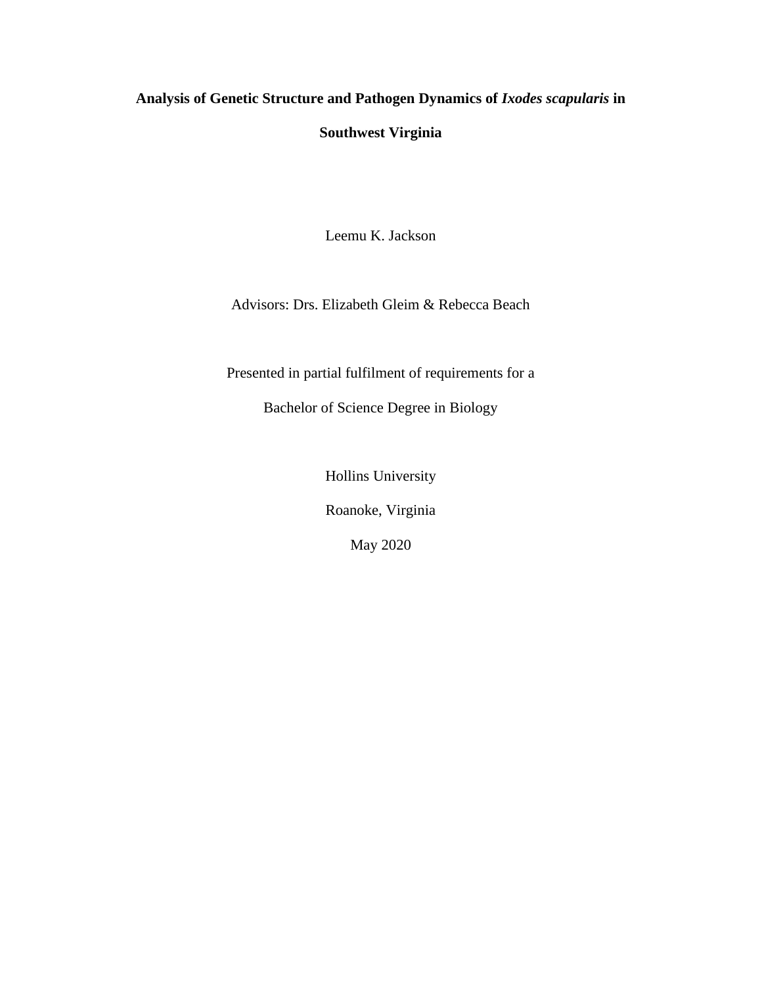## **Analysis of Genetic Structure and Pathogen Dynamics of** *Ixodes scapularis* **in**

## **Southwest Virginia**

Leemu K. Jackson

Advisors: Drs. Elizabeth Gleim & Rebecca Beach

Presented in partial fulfilment of requirements for a

Bachelor of Science Degree in Biology

Hollins University

Roanoke, Virginia

May 2020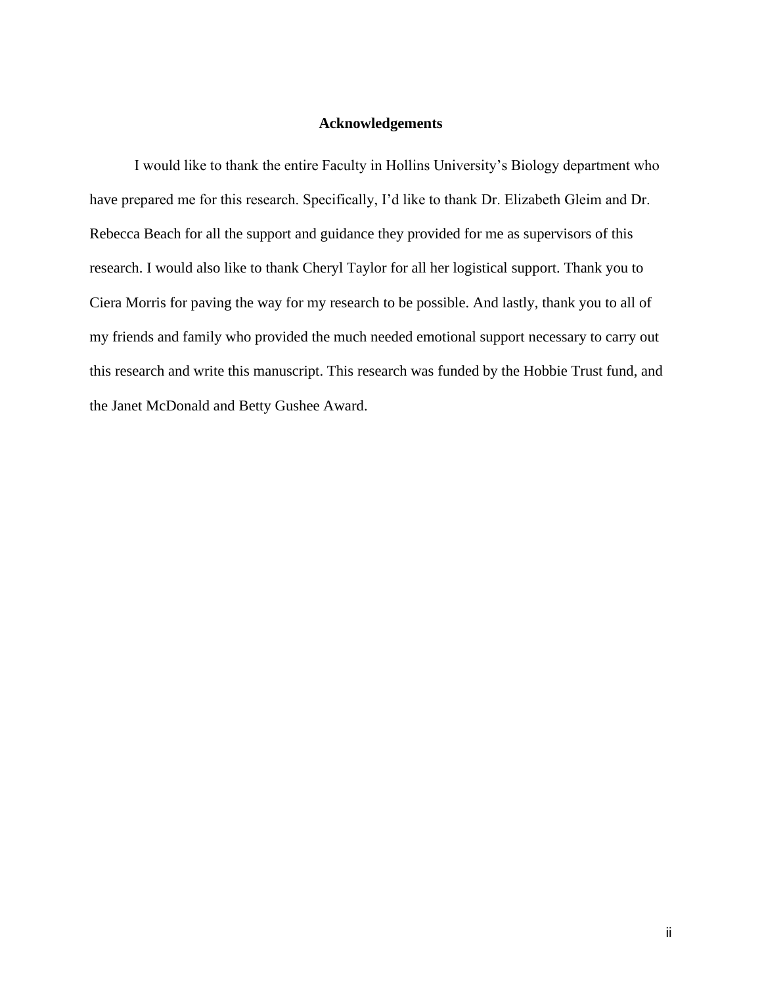#### **Acknowledgements**

I would like to thank the entire Faculty in Hollins University's Biology department who have prepared me for this research. Specifically, I'd like to thank Dr. Elizabeth Gleim and Dr. Rebecca Beach for all the support and guidance they provided for me as supervisors of this research. I would also like to thank Cheryl Taylor for all her logistical support. Thank you to Ciera Morris for paving the way for my research to be possible. And lastly, thank you to all of my friends and family who provided the much needed emotional support necessary to carry out this research and write this manuscript. This research was funded by the Hobbie Trust fund, and the Janet McDonald and Betty Gushee Award.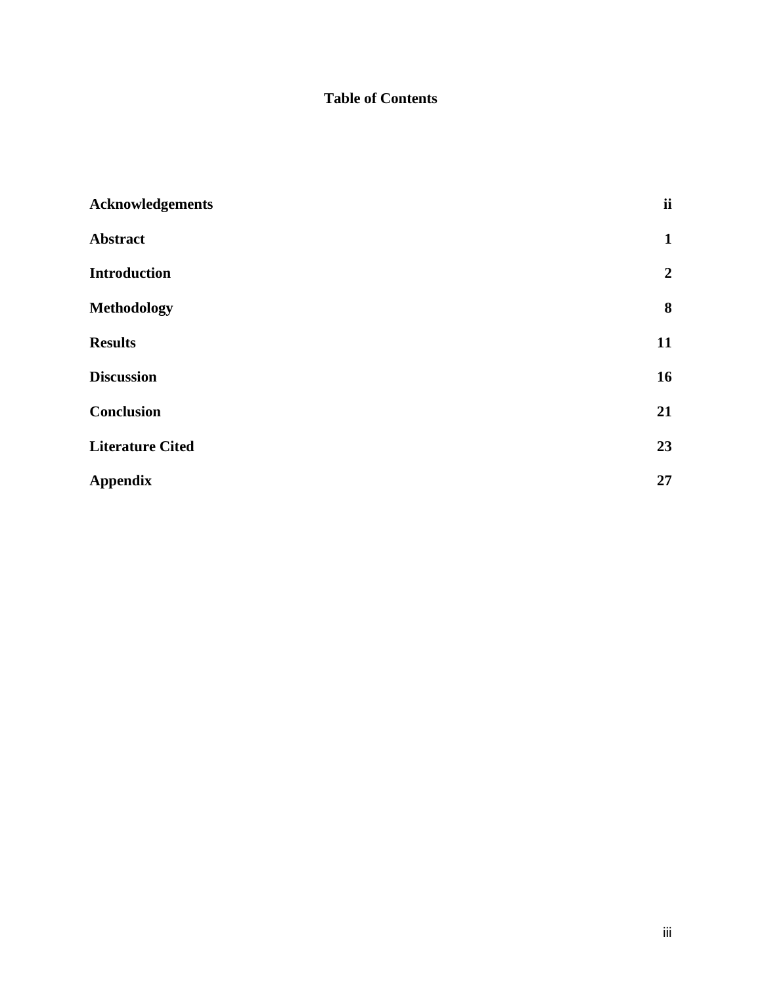# **Table of Contents**

| <b>Acknowledgements</b> | $\ddot{\mathbf{i}}$ |
|-------------------------|---------------------|
| <b>Abstract</b>         | $\mathbf{1}$        |
| <b>Introduction</b>     | $\boldsymbol{2}$    |
| <b>Methodology</b>      | 8                   |
| <b>Results</b>          | 11                  |
| <b>Discussion</b>       | 16                  |
| Conclusion              | 21                  |
| <b>Literature Cited</b> | 23                  |
| <b>Appendix</b>         | 27                  |
|                         |                     |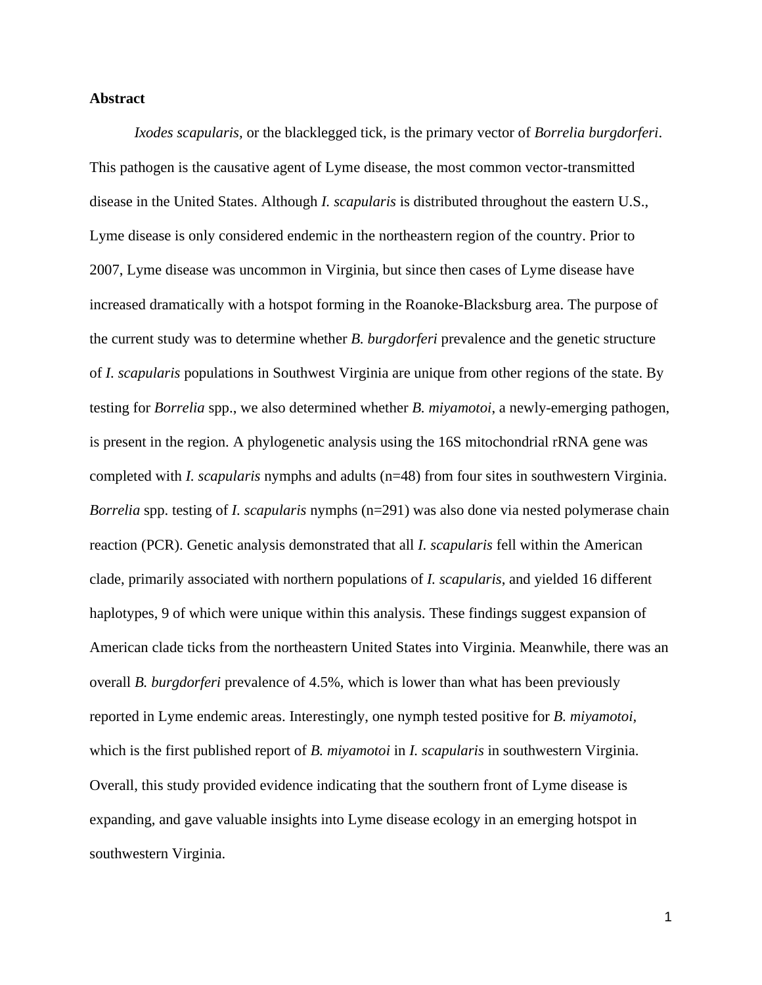#### **Abstract**

*Ixodes scapularis,* or the blacklegged tick, is the primary vector of *Borrelia burgdorferi*. This pathogen is the causative agent of Lyme disease, the most common vector-transmitted disease in the United States. Although *I. scapularis* is distributed throughout the eastern U.S., Lyme disease is only considered endemic in the northeastern region of the country. Prior to 2007, Lyme disease was uncommon in Virginia, but since then cases of Lyme disease have increased dramatically with a hotspot forming in the Roanoke-Blacksburg area. The purpose of the current study was to determine whether *B. burgdorferi* prevalence and the genetic structure of *I. scapularis* populations in Southwest Virginia are unique from other regions of the state. By testing for *Borrelia* spp., we also determined whether *B. miyamotoi*, a newly-emerging pathogen, is present in the region. A phylogenetic analysis using the 16S mitochondrial rRNA gene was completed with *I. scapularis* nymphs and adults (n=48) from four sites in southwestern Virginia. *Borrelia* spp. testing of *I. scapularis* nymphs (n=291) was also done via nested polymerase chain reaction (PCR). Genetic analysis demonstrated that all *I. scapularis* fell within the American clade, primarily associated with northern populations of *I. scapularis*, and yielded 16 different haplotypes, 9 of which were unique within this analysis. These findings suggest expansion of American clade ticks from the northeastern United States into Virginia. Meanwhile, there was an overall *B. burgdorferi* prevalence of 4.5%, which is lower than what has been previously reported in Lyme endemic areas. Interestingly, one nymph tested positive for *B. miyamotoi,*  which is the first published report of *B. miyamotoi* in *I. scapularis* in southwestern Virginia. Overall, this study provided evidence indicating that the southern front of Lyme disease is expanding, and gave valuable insights into Lyme disease ecology in an emerging hotspot in southwestern Virginia.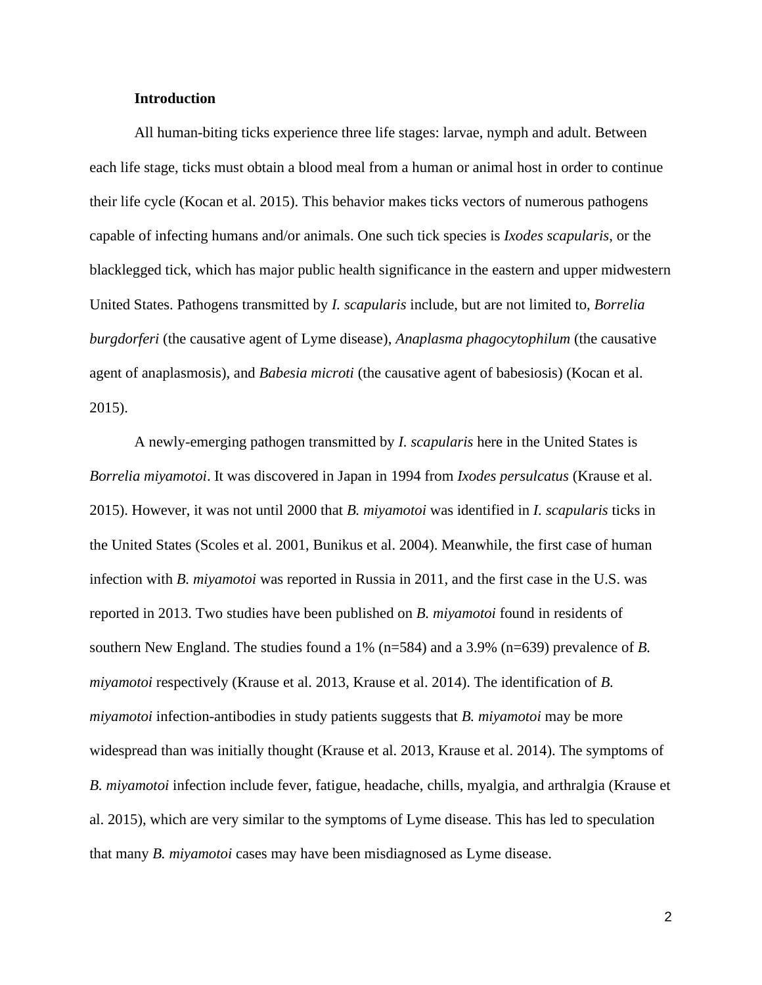#### **Introduction**

All human-biting ticks experience three life stages: larvae, nymph and adult. Between each life stage, ticks must obtain a blood meal from a human or animal host in order to continue their life cycle (Kocan et al. 2015). This behavior makes ticks vectors of numerous pathogens capable of infecting humans and/or animals. One such tick species is *Ixodes scapularis*, or the blacklegged tick, which has major public health significance in the eastern and upper midwestern United States. Pathogens transmitted by *I. scapularis* include, but are not limited to, *Borrelia burgdorferi* (the causative agent of Lyme disease), *Anaplasma phagocytophilum* (the causative agent of anaplasmosis), and *Babesia microti* (the causative agent of babesiosis) (Kocan et al. 2015).

A newly-emerging pathogen transmitted by *I. scapularis* here in the United States is *Borrelia miyamotoi*. It was discovered in Japan in 1994 from *Ixodes persulcatus* (Krause et al. 2015). However, it was not until 2000 that *B. miyamotoi* was identified in *I. scapularis* ticks in the United States (Scoles et al. 2001, Bunikus et al. 2004). Meanwhile, the first case of human infection with *B. miyamotoi* was reported in Russia in 2011, and the first case in the U.S. was reported in 2013. Two studies have been published on *B. miyamotoi* found in residents of southern New England. The studies found a 1% (n=584) and a 3.9% (n=639) prevalence of *B. miyamotoi* respectively (Krause et al. 2013, Krause et al. 2014). The identification of *B. miyamotoi* infection-antibodies in study patients suggests that *B. miyamotoi* may be more widespread than was initially thought (Krause et al. 2013, Krause et al. 2014). The symptoms of *B. miyamotoi* infection include fever, fatigue, headache, chills, myalgia, and arthralgia (Krause et al. 2015), which are very similar to the symptoms of Lyme disease. This has led to speculation that many *B. miyamotoi* cases may have been misdiagnosed as Lyme disease.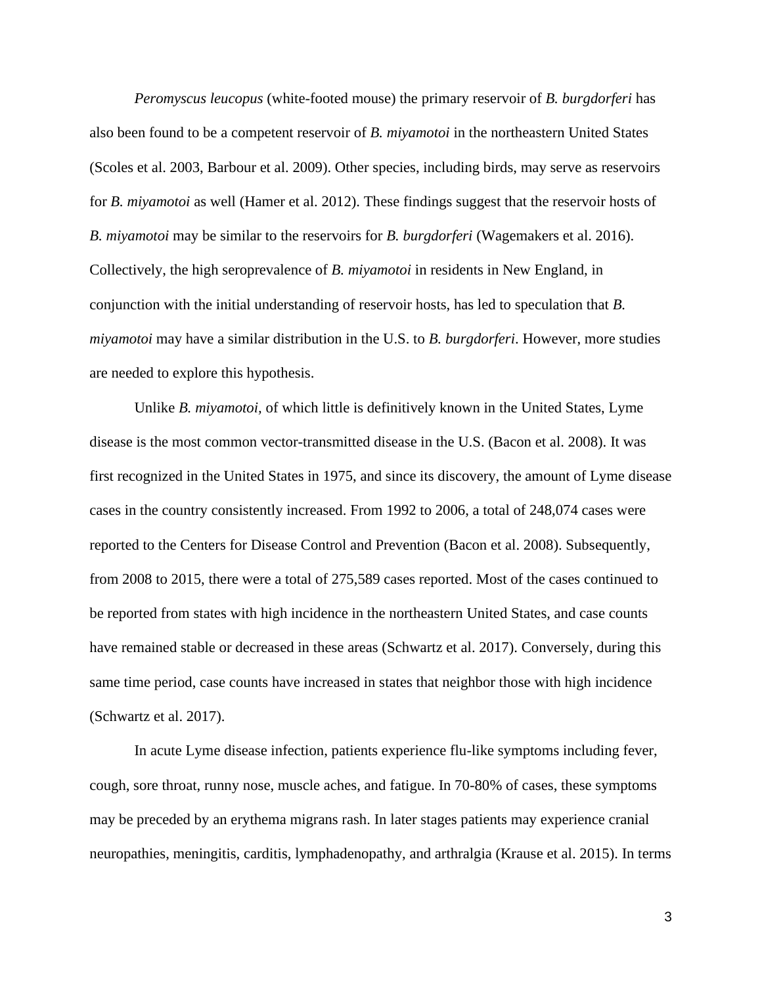*Peromyscus leucopus* (white-footed mouse) the primary reservoir of *B. burgdorferi* has also been found to be a competent reservoir of *B. miyamotoi* in the northeastern United States (Scoles et al. 2003, Barbour et al. 2009). Other species, including birds, may serve as reservoirs for *B. miyamotoi* as well (Hamer et al. 2012). These findings suggest that the reservoir hosts of *B. miyamotoi* may be similar to the reservoirs for *B. burgdorferi* (Wagemakers et al. 2016). Collectively, the high seroprevalence of *B. miyamotoi* in residents in New England, in conjunction with the initial understanding of reservoir hosts, has led to speculation that *B. miyamotoi* may have a similar distribution in the U.S. to *B. burgdorferi*. However, more studies are needed to explore this hypothesis.

Unlike *B. miyamotoi,* of which little is definitively known in the United States, Lyme disease is the most common vector-transmitted disease in the U.S. (Bacon et al. 2008). It was first recognized in the United States in 1975, and since its discovery, the amount of Lyme disease cases in the country consistently increased. From 1992 to 2006, a total of 248,074 cases were reported to the Centers for Disease Control and Prevention (Bacon et al. 2008). Subsequently, from 2008 to 2015, there were a total of 275,589 cases reported. Most of the cases continued to be reported from states with high incidence in the northeastern United States, and case counts have remained stable or decreased in these areas (Schwartz et al. 2017). Conversely, during this same time period, case counts have increased in states that neighbor those with high incidence (Schwartz et al. 2017).

In acute Lyme disease infection, patients experience flu-like symptoms including fever, cough, sore throat, runny nose, muscle aches, and fatigue. In 70-80% of cases, these symptoms may be preceded by an erythema migrans rash. In later stages patients may experience cranial neuropathies, meningitis, carditis, lymphadenopathy, and arthralgia (Krause et al. 2015). In terms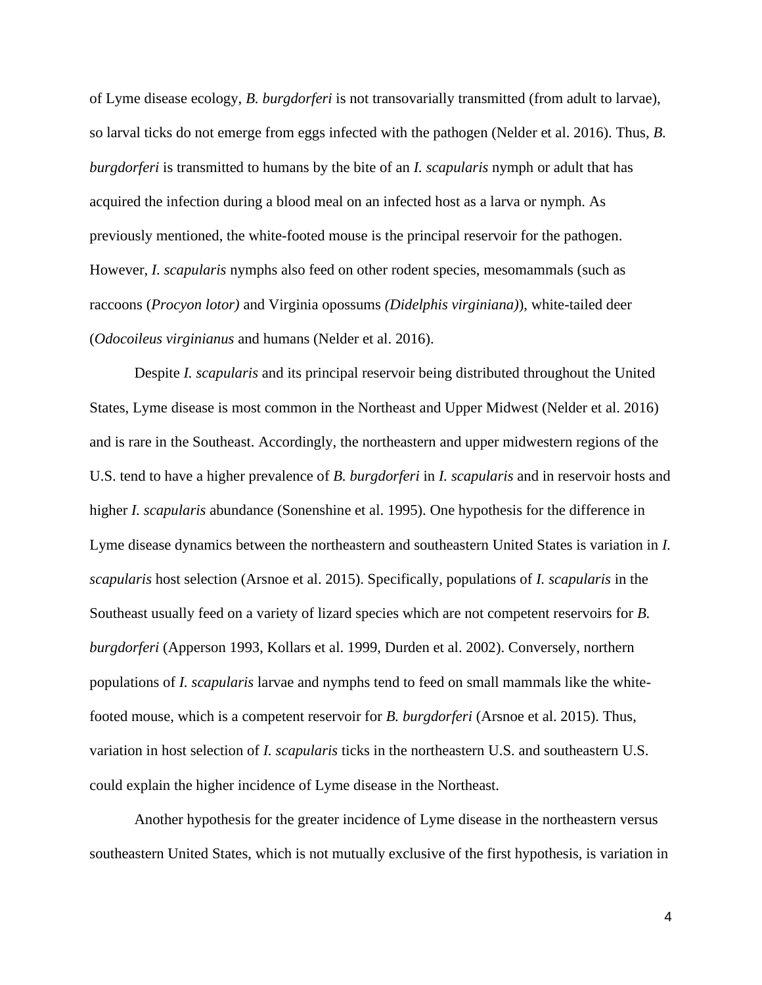of Lyme disease ecology, *B. burgdorferi* is not transovarially transmitted (from adult to larvae), so larval ticks do not emerge from eggs infected with the pathogen (Nelder et al. 2016). Thus, *B. burgdorferi* is transmitted to humans by the bite of an *I. scapularis* nymph or adult that has acquired the infection during a blood meal on an infected host as a larva or nymph. As previously mentioned, the white-footed mouse is the principal reservoir for the pathogen. However, *I. scapularis* nymphs also feed on other rodent species, mesomammals (such as raccoons (*Procyon lotor)* and Virginia opossums *(Didelphis virginiana)*), white-tailed deer (*Odocoileus virginianus* and humans (Nelder et al. 2016).

Despite *I. scapularis* and its principal reservoir being distributed throughout the United States, Lyme disease is most common in the Northeast and Upper Midwest (Nelder et al. 2016) and is rare in the Southeast. Accordingly, the northeastern and upper midwestern regions of the U.S. tend to have a higher prevalence of *B. burgdorferi* in *I. scapularis* and in reservoir hosts and higher *I. scapularis* abundance (Sonenshine et al. 1995). One hypothesis for the difference in Lyme disease dynamics between the northeastern and southeastern United States is variation in *I. scapularis* host selection (Arsnoe et al. 2015). Specifically, populations of *I. scapularis* in the Southeast usually feed on a variety of lizard species which are not competent reservoirs for *B. burgdorferi* (Apperson 1993, Kollars et al. 1999, Durden et al. 2002). Conversely, northern populations of *I. scapularis* larvae and nymphs tend to feed on small mammals like the whitefooted mouse, which is a competent reservoir for *B. burgdorferi* (Arsnoe et al. 2015). Thus, variation in host selection of *I. scapularis* ticks in the northeastern U.S. and southeastern U.S. could explain the higher incidence of Lyme disease in the Northeast.

Another hypothesis for the greater incidence of Lyme disease in the northeastern versus southeastern United States, which is not mutually exclusive of the first hypothesis, is variation in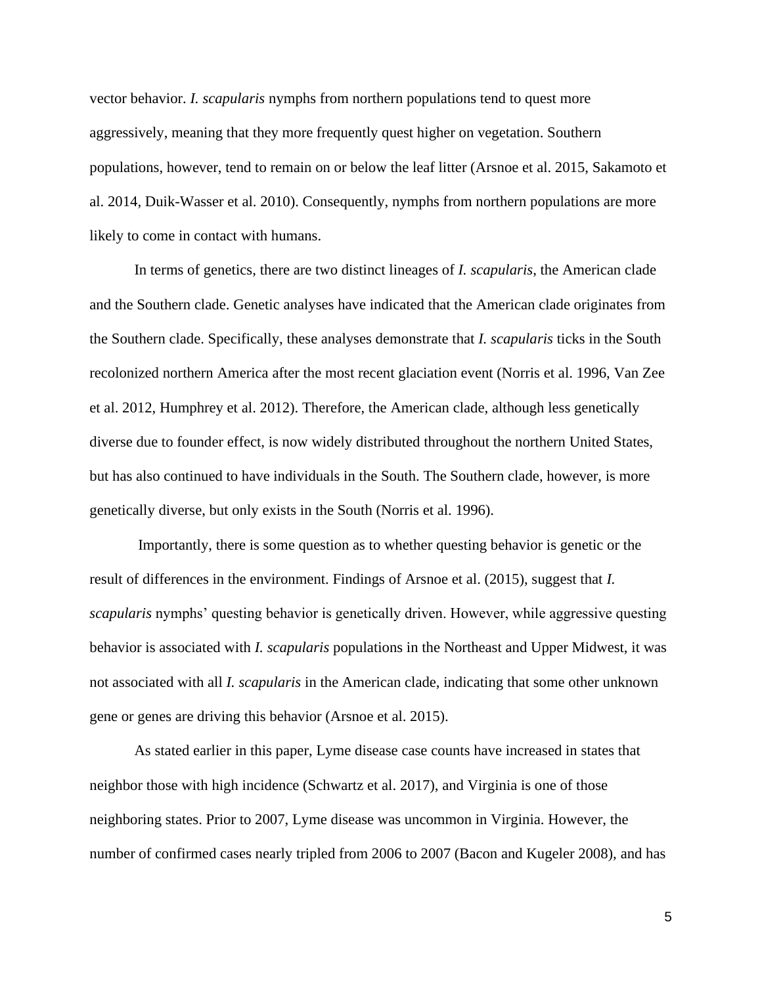vector behavior. *I. scapularis* nymphs from northern populations tend to quest more aggressively, meaning that they more frequently quest higher on vegetation. Southern populations, however, tend to remain on or below the leaf litter (Arsnoe et al. 2015, Sakamoto et al. 2014, Duik-Wasser et al. 2010). Consequently, nymphs from northern populations are more likely to come in contact with humans.

In terms of genetics, there are two distinct lineages of *I. scapularis*, the American clade and the Southern clade. Genetic analyses have indicated that the American clade originates from the Southern clade. Specifically, these analyses demonstrate that *I. scapularis* ticks in the South recolonized northern America after the most recent glaciation event (Norris et al. 1996, Van Zee et al. 2012, Humphrey et al. 2012). Therefore, the American clade, although less genetically diverse due to founder effect, is now widely distributed throughout the northern United States, but has also continued to have individuals in the South. The Southern clade, however, is more genetically diverse, but only exists in the South (Norris et al. 1996).

Importantly, there is some question as to whether questing behavior is genetic or the result of differences in the environment. Findings of Arsnoe et al. (2015), suggest that *I. scapularis* nymphs' questing behavior is genetically driven. However, while aggressive questing behavior is associated with *I. scapularis* populations in the Northeast and Upper Midwest, it was not associated with all *I. scapularis* in the American clade, indicating that some other unknown gene or genes are driving this behavior (Arsnoe et al. 2015).

As stated earlier in this paper, Lyme disease case counts have increased in states that neighbor those with high incidence (Schwartz et al. 2017), and Virginia is one of those neighboring states. Prior to 2007, Lyme disease was uncommon in Virginia. However, the number of confirmed cases nearly tripled from 2006 to 2007 (Bacon and Kugeler 2008), and has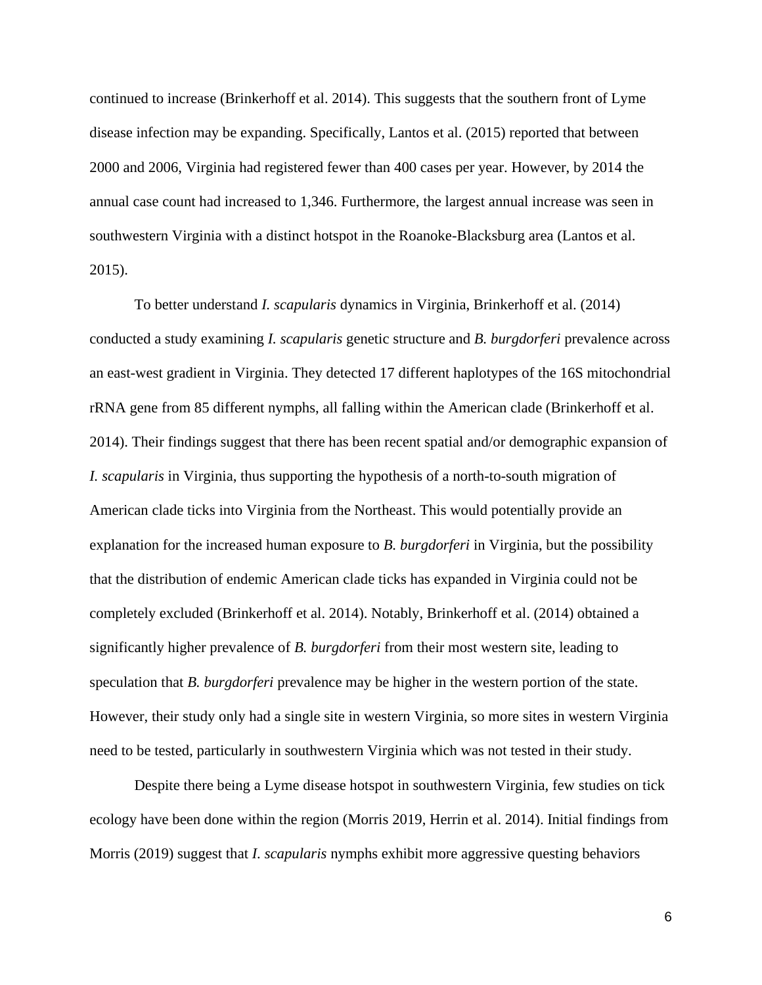continued to increase (Brinkerhoff et al. 2014). This suggests that the southern front of Lyme disease infection may be expanding. Specifically, Lantos et al. (2015) reported that between 2000 and 2006, Virginia had registered fewer than 400 cases per year. However, by 2014 the annual case count had increased to 1,346. Furthermore, the largest annual increase was seen in southwestern Virginia with a distinct hotspot in the Roanoke-Blacksburg area (Lantos et al. 2015).

To better understand *I. scapularis* dynamics in Virginia, Brinkerhoff et al. (2014) conducted a study examining *I. scapularis* genetic structure and *B. burgdorferi* prevalence across an east-west gradient in Virginia. They detected 17 different haplotypes of the 16S mitochondrial rRNA gene from 85 different nymphs, all falling within the American clade (Brinkerhoff et al. 2014). Their findings suggest that there has been recent spatial and/or demographic expansion of *I. scapularis* in Virginia, thus supporting the hypothesis of a north-to-south migration of American clade ticks into Virginia from the Northeast. This would potentially provide an explanation for the increased human exposure to *B. burgdorferi* in Virginia, but the possibility that the distribution of endemic American clade ticks has expanded in Virginia could not be completely excluded (Brinkerhoff et al. 2014). Notably, Brinkerhoff et al. (2014) obtained a significantly higher prevalence of *B. burgdorferi* from their most western site, leading to speculation that *B. burgdorferi* prevalence may be higher in the western portion of the state. However, their study only had a single site in western Virginia, so more sites in western Virginia need to be tested, particularly in southwestern Virginia which was not tested in their study.

Despite there being a Lyme disease hotspot in southwestern Virginia, few studies on tick ecology have been done within the region (Morris 2019, Herrin et al. 2014). Initial findings from Morris (2019) suggest that *I. scapularis* nymphs exhibit more aggressive questing behaviors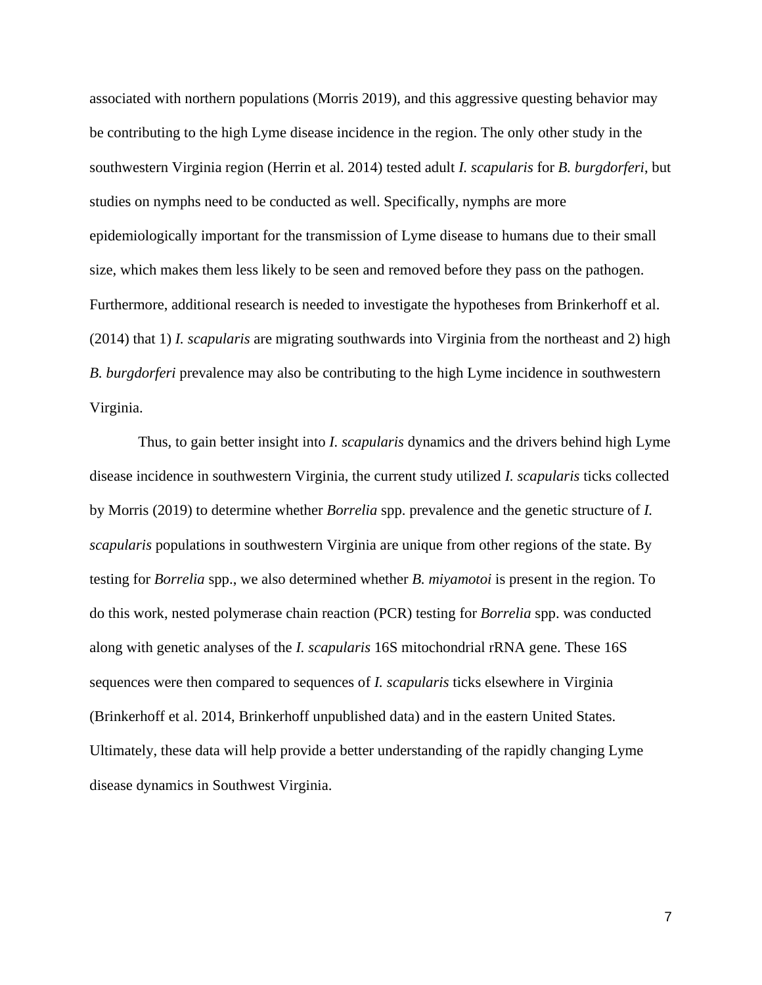associated with northern populations (Morris 2019), and this aggressive questing behavior may be contributing to the high Lyme disease incidence in the region. The only other study in the southwestern Virginia region (Herrin et al. 2014) tested adult *I. scapularis* for *B. burgdorferi*, but studies on nymphs need to be conducted as well. Specifically, nymphs are more epidemiologically important for the transmission of Lyme disease to humans due to their small size, which makes them less likely to be seen and removed before they pass on the pathogen. Furthermore, additional research is needed to investigate the hypotheses from Brinkerhoff et al. (2014) that 1) *I. scapularis* are migrating southwards into Virginia from the northeast and 2) high *B. burgdorferi* prevalence may also be contributing to the high Lyme incidence in southwestern Virginia.

Thus, to gain better insight into *I. scapularis* dynamics and the drivers behind high Lyme disease incidence in southwestern Virginia, the current study utilized *I. scapularis* ticks collected by Morris (2019) to determine whether *Borrelia* spp. prevalence and the genetic structure of *I. scapularis* populations in southwestern Virginia are unique from other regions of the state. By testing for *Borrelia* spp., we also determined whether *B. miyamotoi* is present in the region. To do this work, nested polymerase chain reaction (PCR) testing for *Borrelia* spp. was conducted along with genetic analyses of the *I. scapularis* 16S mitochondrial rRNA gene. These 16S sequences were then compared to sequences of *I. scapularis* ticks elsewhere in Virginia (Brinkerhoff et al. 2014, Brinkerhoff unpublished data) and in the eastern United States. Ultimately, these data will help provide a better understanding of the rapidly changing Lyme disease dynamics in Southwest Virginia.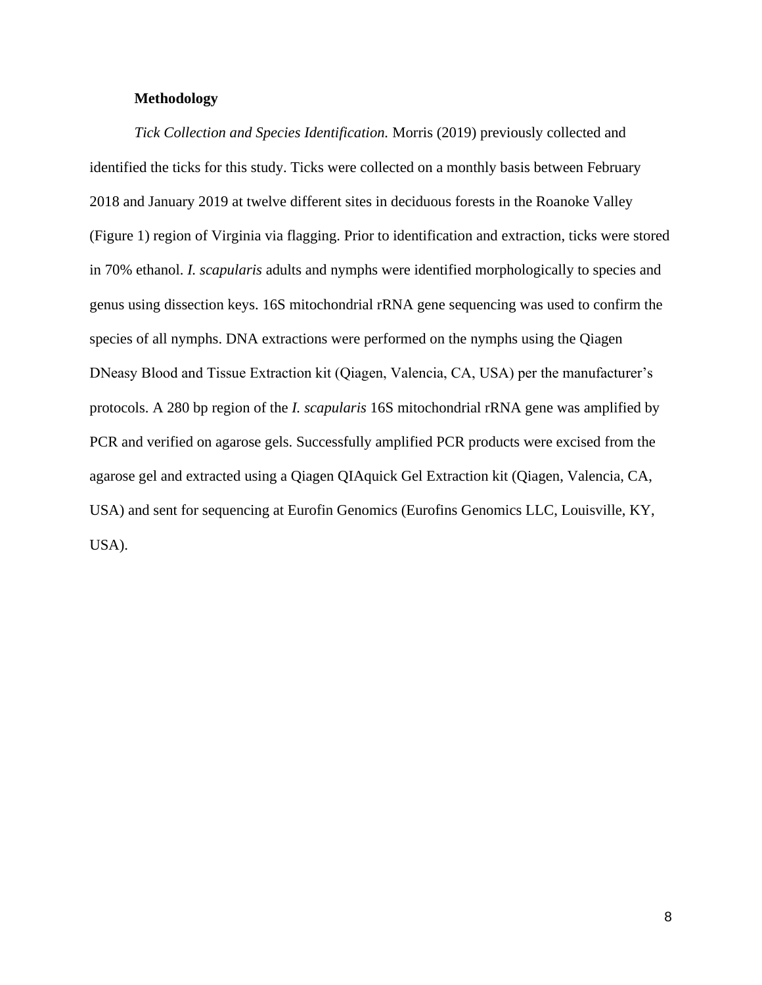#### **Methodology**

*Tick Collection and Species Identification.* Morris (2019) previously collected and identified the ticks for this study. Ticks were collected on a monthly basis between February 2018 and January 2019 at twelve different sites in deciduous forests in the Roanoke Valley (Figure 1) region of Virginia via flagging. Prior to identification and extraction, ticks were stored in 70% ethanol. *I. scapularis* adults and nymphs were identified morphologically to species and genus using dissection keys. 16S mitochondrial rRNA gene sequencing was used to confirm the species of all nymphs. DNA extractions were performed on the nymphs using the Qiagen DNeasy Blood and Tissue Extraction kit (Qiagen, Valencia, CA, USA) per the manufacturer's protocols. A 280 bp region of the *I. scapularis* 16S mitochondrial rRNA gene was amplified by PCR and verified on agarose gels. Successfully amplified PCR products were excised from the agarose gel and extracted using a Qiagen QIAquick Gel Extraction kit (Qiagen, Valencia, CA, USA) and sent for sequencing at Eurofin Genomics (Eurofins Genomics LLC, Louisville, KY, USA).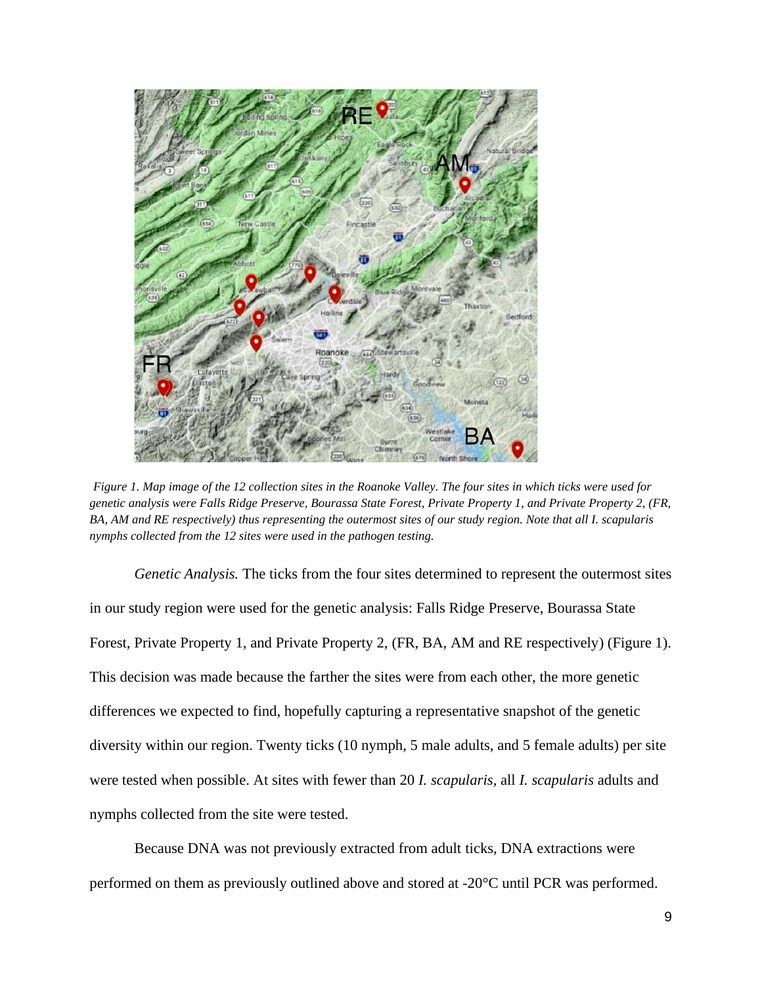

*Figure 1. Map image of the 12 collection sites in the Roanoke Valley. The four sites in which ticks were used for genetic analysis were Falls Ridge Preserve, Bourassa State Forest, Private Property 1, and Private Property 2, (FR, BA, AM and RE respectively) thus representing the outermost sites of our study region. Note that all I. scapularis nymphs collected from the 12 sites were used in the pathogen testing.*

*Genetic Analysis.* The ticks from the four sites determined to represent the outermost sites in our study region were used for the genetic analysis: Falls Ridge Preserve, Bourassa State Forest, Private Property 1, and Private Property 2, (FR, BA, AM and RE respectively) (Figure 1). This decision was made because the farther the sites were from each other, the more genetic differences we expected to find, hopefully capturing a representative snapshot of the genetic diversity within our region. Twenty ticks (10 nymph, 5 male adults, and 5 female adults) per site were tested when possible. At sites with fewer than 20 *I. scapularis*, all *I. scapularis* adults and nymphs collected from the site were tested.

 Because DNA was not previously extracted from adult ticks, DNA extractions were performed on them as previously outlined above and stored at -20°C until PCR was performed.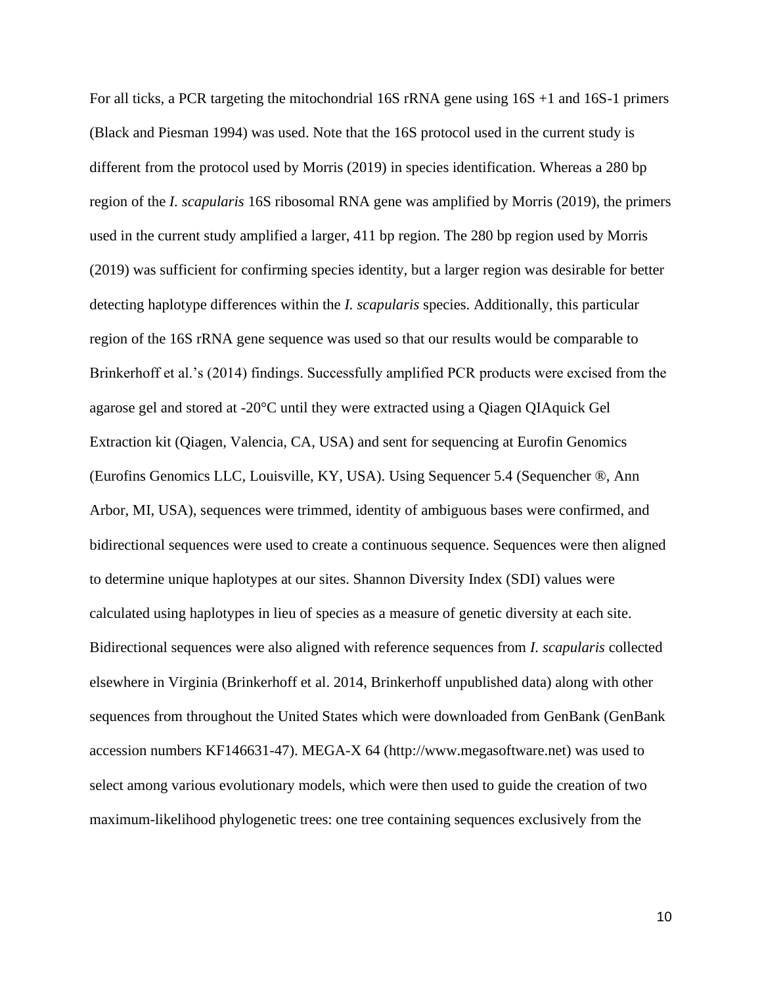For all ticks, a PCR targeting the mitochondrial 16S rRNA gene using 16S +1 and 16S-1 primers (Black and Piesman 1994) was used. Note that the 16S protocol used in the current study is different from the protocol used by Morris (2019) in species identification. Whereas a 280 bp region of the *I. scapularis* 16S ribosomal RNA gene was amplified by Morris (2019), the primers used in the current study amplified a larger, 411 bp region. The 280 bp region used by Morris (2019) was sufficient for confirming species identity, but a larger region was desirable for better detecting haplotype differences within the *I. scapularis* species. Additionally, this particular region of the 16S rRNA gene sequence was used so that our results would be comparable to Brinkerhoff et al.'s (2014) findings. Successfully amplified PCR products were excised from the agarose gel and stored at -20°C until they were extracted using a Qiagen QIAquick Gel Extraction kit (Qiagen, Valencia, CA, USA) and sent for sequencing at Eurofin Genomics (Eurofins Genomics LLC, Louisville, KY, USA). Using Sequencer 5.4 (Sequencher ®, Ann Arbor, MI, USA), sequences were trimmed, identity of ambiguous bases were confirmed, and bidirectional sequences were used to create a continuous sequence. Sequences were then aligned to determine unique haplotypes at our sites. Shannon Diversity Index (SDI) values were calculated using haplotypes in lieu of species as a measure of genetic diversity at each site. Bidirectional sequences were also aligned with reference sequences from *I. scapularis* collected elsewhere in Virginia (Brinkerhoff et al. 2014, Brinkerhoff unpublished data) along with other sequences from throughout the United States which were downloaded from GenBank (GenBank accession numbers KF146631-47). MEGA-X 64 (http://www.megasoftware.net) was used to select among various evolutionary models, which were then used to guide the creation of two maximum-likelihood phylogenetic trees: one tree containing sequences exclusively from the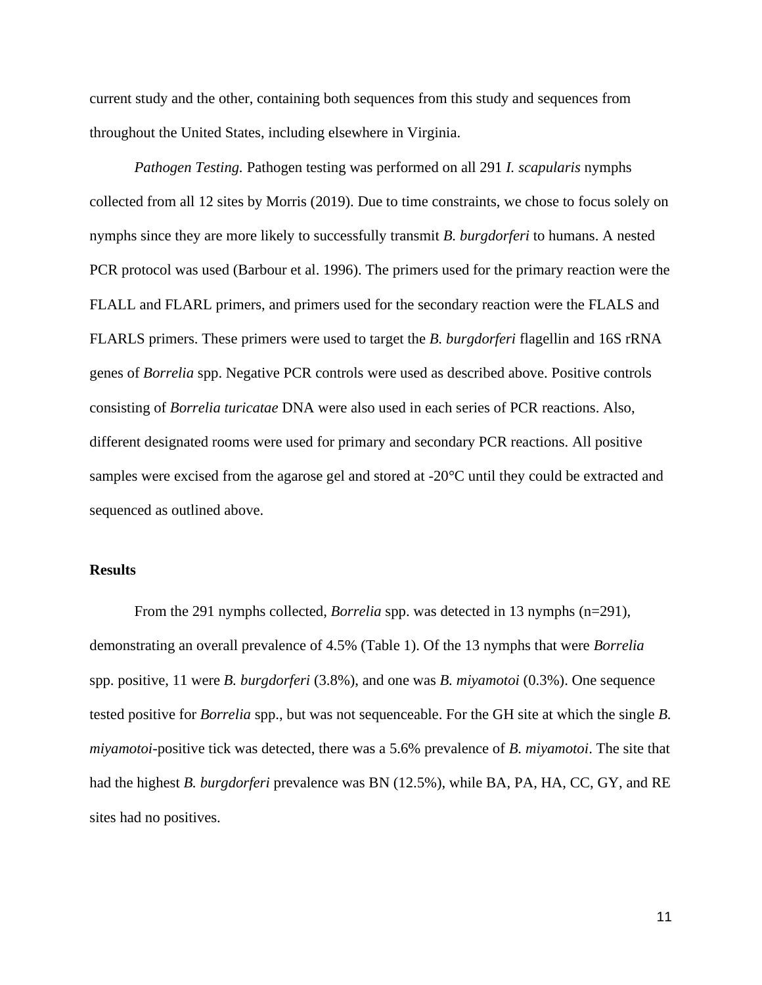current study and the other, containing both sequences from this study and sequences from throughout the United States, including elsewhere in Virginia.

*Pathogen Testing.* Pathogen testing was performed on all 291 *I. scapularis* nymphs collected from all 12 sites by Morris (2019). Due to time constraints, we chose to focus solely on nymphs since they are more likely to successfully transmit *B. burgdorferi* to humans. A nested PCR protocol was used (Barbour et al. 1996). The primers used for the primary reaction were the FLALL and FLARL primers, and primers used for the secondary reaction were the FLALS and FLARLS primers. These primers were used to target the *B. burgdorferi* flagellin and 16S rRNA genes of *Borrelia* spp. Negative PCR controls were used as described above. Positive controls consisting of *Borrelia turicatae* DNA were also used in each series of PCR reactions. Also, different designated rooms were used for primary and secondary PCR reactions. All positive samples were excised from the agarose gel and stored at -20°C until they could be extracted and sequenced as outlined above.

### **Results**

From the 291 nymphs collected, *Borrelia* spp. was detected in 13 nymphs (n=291), demonstrating an overall prevalence of 4.5% (Table 1). Of the 13 nymphs that were *Borrelia*  spp. positive, 11 were *B. burgdorferi* (3.8%), and one was *B. miyamotoi* (0.3%). One sequence tested positive for *Borrelia* spp., but was not sequenceable. For the GH site at which the single *B. miyamotoi-*positive tick was detected, there was a 5.6% prevalence of *B. miyamotoi*. The site that had the highest *B. burgdorferi* prevalence was BN (12.5%), while BA, PA, HA, CC, GY, and RE sites had no positives.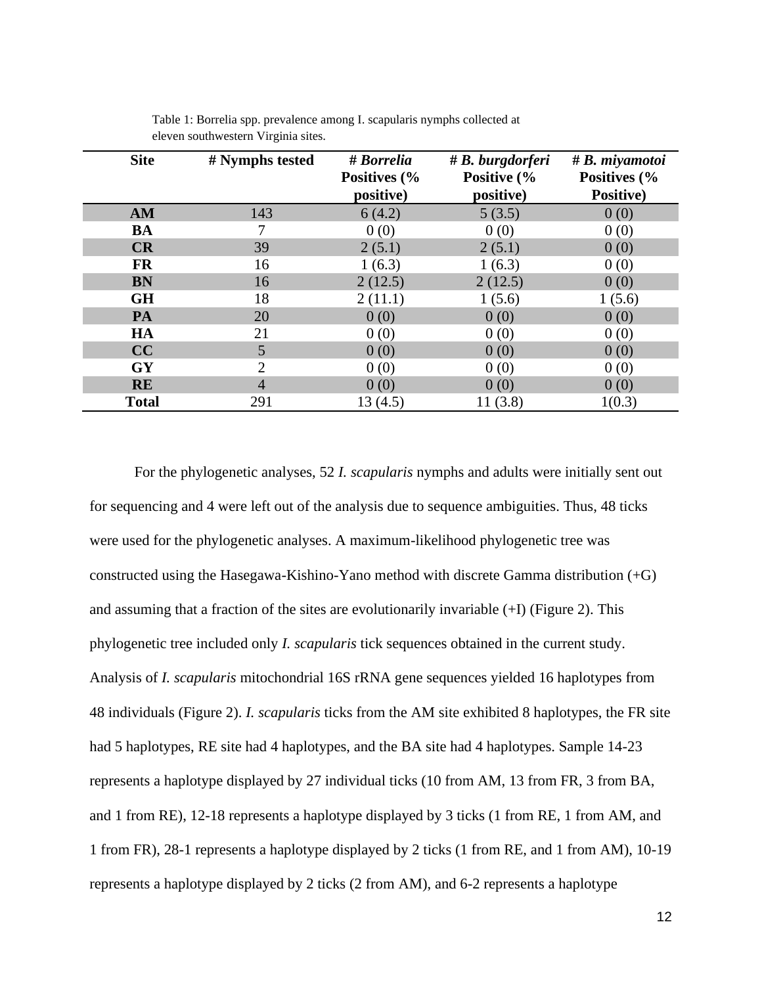| <b>Site</b>  | # Nymphs tested | # Borrelia<br>Positives (%<br>positive) | $# B.$ burgdorferi<br>Positive (%<br>positive) | # B. miyamotoi<br>Positives (%<br>Positive) |
|--------------|-----------------|-----------------------------------------|------------------------------------------------|---------------------------------------------|
| AM           | 143             | 6(4.2)                                  | 5(3.5)                                         | 0(0)                                        |
| BA           | 7               | 0(0)                                    | 0(0)                                           | 0(0)                                        |
| <b>CR</b>    | 39              | 2(5.1)                                  | 2(5.1)                                         | 0(0)                                        |
| <b>FR</b>    | 16              | 1(6.3)                                  | 1(6.3)                                         | 0(0)                                        |
| <b>BN</b>    | 16              | 2(12.5)                                 | 2(12.5)                                        | 0(0)                                        |
| <b>GH</b>    | 18              | 2(11.1)                                 | 1(5.6)                                         | 1(5.6)                                      |
| PA           | 20              | 0(0)                                    | 0(0)                                           | 0(0)                                        |
| HA           | 21              | 0(0)                                    | 0(0)                                           | 0(0)                                        |
| CC           | 5               | 0(0)                                    | 0(0)                                           | 0(0)                                        |
| <b>GY</b>    | $\overline{2}$  | 0(0)                                    | 0(0)                                           | 0(0)                                        |
| <b>RE</b>    | $\overline{4}$  | 0(0)                                    | 0(0)                                           | 0(0)                                        |
| <b>Total</b> | 291             | 13(4.5)                                 | 11(3.8)                                        | 1(0.3)                                      |

Table 1: Borrelia spp. prevalence among I. scapularis nymphs collected at eleven southwestern Virginia sites.

For the phylogenetic analyses, 52 *I. scapularis* nymphs and adults were initially sent out for sequencing and 4 were left out of the analysis due to sequence ambiguities. Thus, 48 ticks were used for the phylogenetic analyses. A maximum-likelihood phylogenetic tree was constructed using the Hasegawa-Kishino-Yano method with discrete Gamma distribution (+G) and assuming that a fraction of the sites are evolutionarily invariable (+I) (Figure 2). This phylogenetic tree included only *I. scapularis* tick sequences obtained in the current study. Analysis of *I. scapularis* mitochondrial 16S rRNA gene sequences yielded 16 haplotypes from 48 individuals (Figure 2). *I. scapularis* ticks from the AM site exhibited 8 haplotypes, the FR site had 5 haplotypes, RE site had 4 haplotypes, and the BA site had 4 haplotypes. Sample 14-23 represents a haplotype displayed by 27 individual ticks (10 from AM, 13 from FR, 3 from BA, and 1 from RE), 12-18 represents a haplotype displayed by 3 ticks (1 from RE, 1 from AM, and 1 from FR), 28-1 represents a haplotype displayed by 2 ticks (1 from RE, and 1 from AM), 10-19 represents a haplotype displayed by 2 ticks (2 from AM), and 6-2 represents a haplotype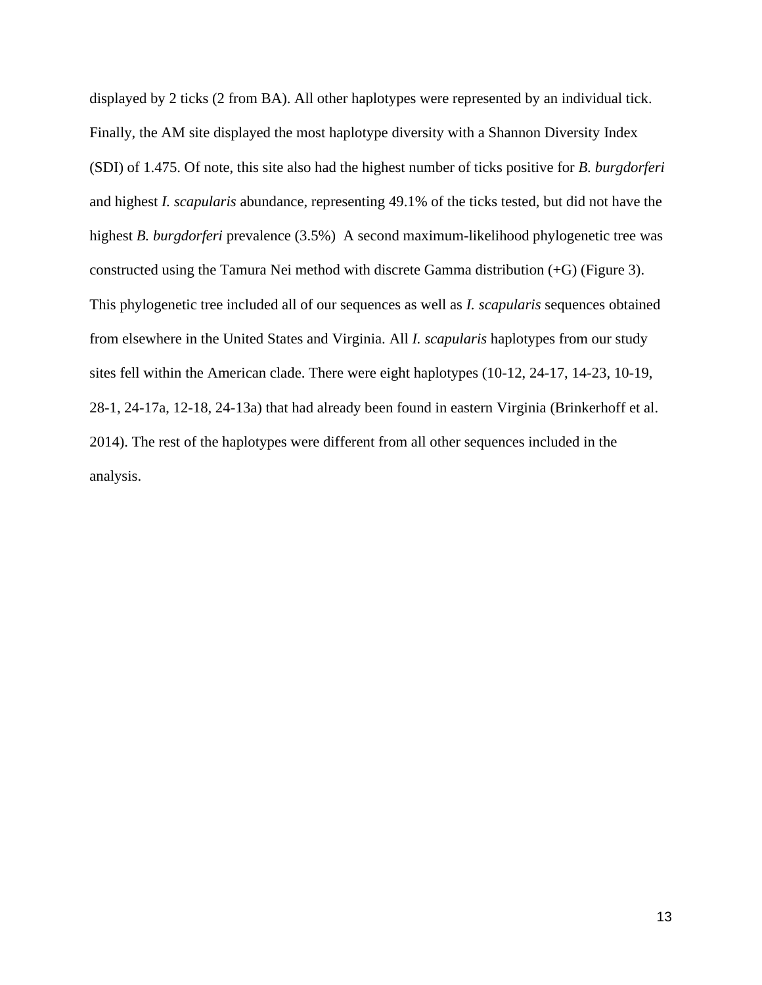displayed by 2 ticks (2 from BA). All other haplotypes were represented by an individual tick. Finally, the AM site displayed the most haplotype diversity with a Shannon Diversity Index (SDI) of 1.475. Of note, this site also had the highest number of ticks positive for *B. burgdorferi* and highest *I. scapularis* abundance, representing 49.1% of the ticks tested, but did not have the highest *B. burgdorferi* prevalence (3.5%) A second maximum-likelihood phylogenetic tree was constructed using the Tamura Nei method with discrete Gamma distribution (+G) (Figure 3). This phylogenetic tree included all of our sequences as well as *I. scapularis* sequences obtained from elsewhere in the United States and Virginia. All *I. scapularis* haplotypes from our study sites fell within the American clade. There were eight haplotypes (10-12, 24-17, 14-23, 10-19, 28-1, 24-17a, 12-18, 24-13a) that had already been found in eastern Virginia (Brinkerhoff et al. 2014). The rest of the haplotypes were different from all other sequences included in the analysis.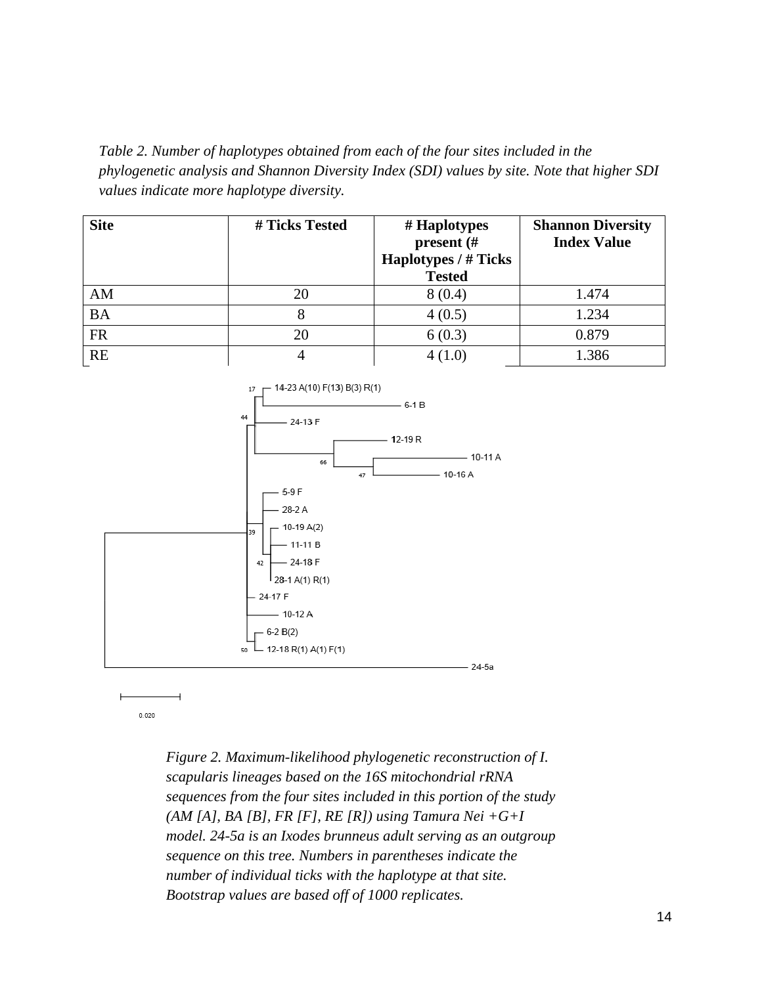*Table 2. Number of haplotypes obtained from each of the four sites included in the phylogenetic analysis and Shannon Diversity Index (SDI) values by site. Note that higher SDI values indicate more haplotype diversity.*

| <b>Site</b> | # Ticks Tested | # Haplotypes<br>present (#<br><b>Haplotypes / # Ticks</b><br><b>Tested</b> | <b>Shannon Diversity</b><br><b>Index Value</b> |
|-------------|----------------|----------------------------------------------------------------------------|------------------------------------------------|
| AM          | 20             | 8(0.4)                                                                     | 1.474                                          |
| <b>BA</b>   | 8              | 4(0.5)                                                                     | 1.234                                          |
| <b>FR</b>   | 20             | 6(0.3)                                                                     | 0.879                                          |
| <b>RE</b>   |                | 4(1.0)                                                                     | 1.386                                          |



0.020

*Figure 2. Maximum-likelihood phylogenetic reconstruction of I. scapularis lineages based on the 16S mitochondrial rRNA sequences from the four sites included in this portion of the study (AM [A], BA [B], FR [F], RE [R]) using Tamura Nei +G+I model. 24-5a is an Ixodes brunneus adult serving as an outgroup sequence on this tree. Numbers in parentheses indicate the number of individual ticks with the haplotype at that site. Bootstrap values are based off of 1000 replicates.*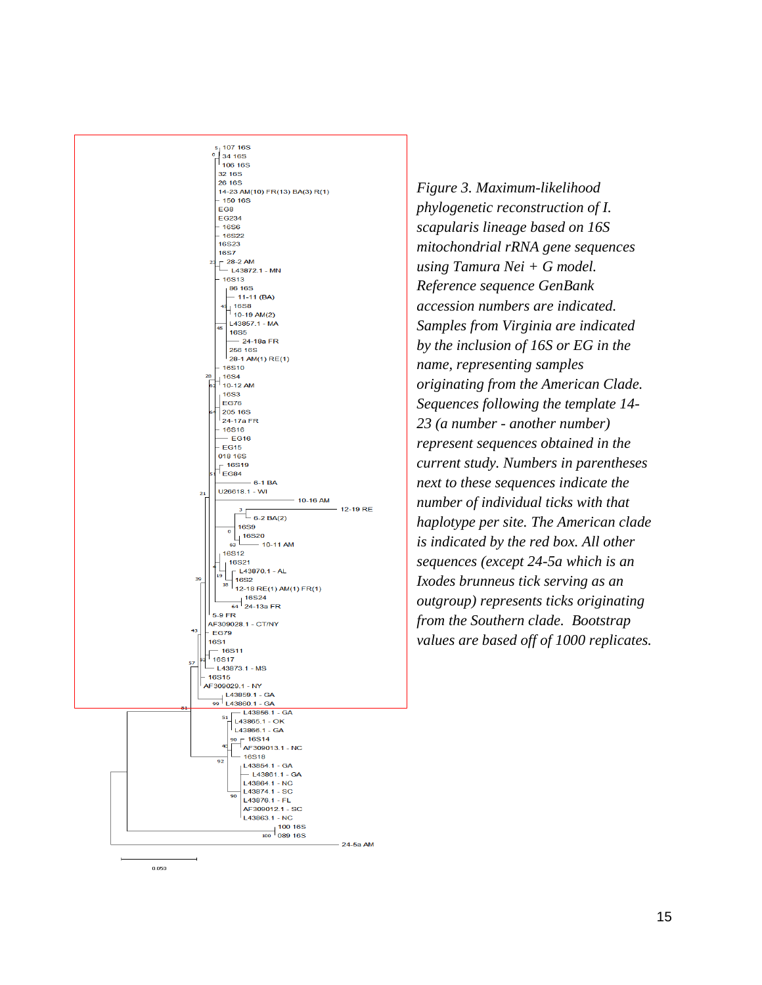

*Figure 3. Maximum-likelihood phylogenetic reconstruction of I. scapularis lineage based on 16S mitochondrial rRNA gene sequences using Tamura Nei + G model. Reference sequence GenBank accession numbers are indicated. Samples from Virginia are indicated by the inclusion of 16S or EG in the name, representing samples originating from the American Clade. Sequences following the template 14- 23 (a number - another number) represent sequences obtained in the current study. Numbers in parentheses next to these sequences indicate the number of individual ticks with that haplotype per site. The American clade is indicated by the red box. All other sequences (except 24-5a which is an Ixodes brunneus tick serving as an outgroup) represents ticks originating from the Southern clade. Bootstrap values are based off of 1000 replicates.*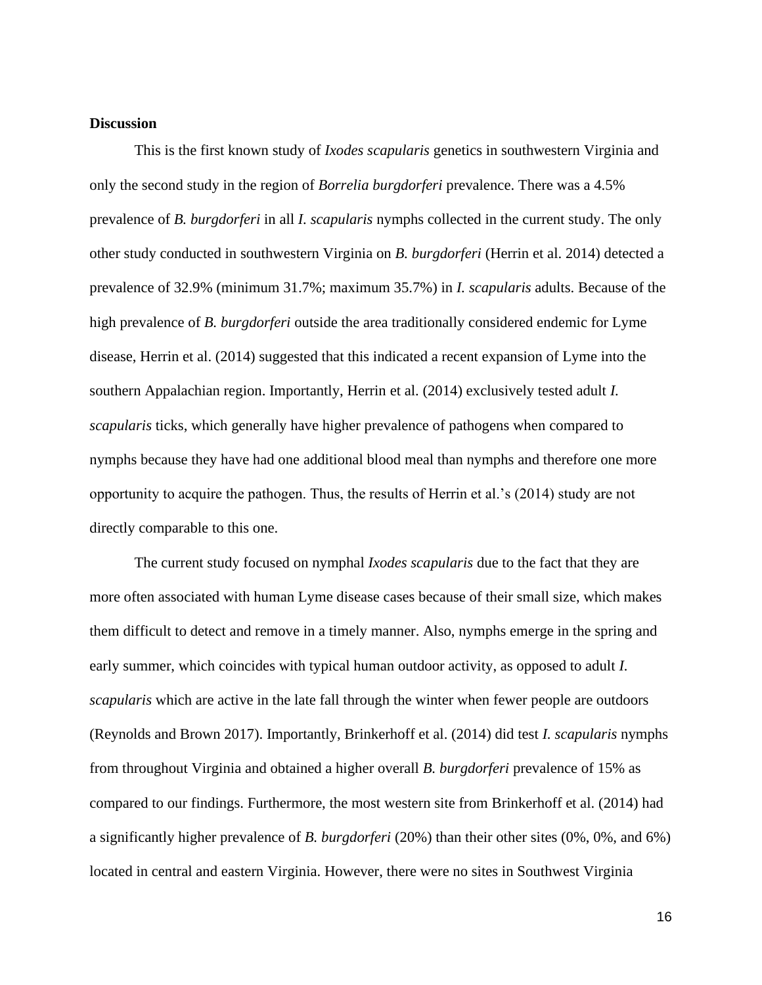#### **Discussion**

This is the first known study of *Ixodes scapularis* genetics in southwestern Virginia and only the second study in the region of *Borrelia burgdorferi* prevalence. There was a 4.5% prevalence of *B. burgdorferi* in all *I. scapularis* nymphs collected in the current study. The only other study conducted in southwestern Virginia on *B. burgdorferi* (Herrin et al. 2014) detected a prevalence of 32.9% (minimum 31.7%; maximum 35.7%) in *I. scapularis* adults. Because of the high prevalence of *B. burgdorferi* outside the area traditionally considered endemic for Lyme disease, Herrin et al. (2014) suggested that this indicated a recent expansion of Lyme into the southern Appalachian region. Importantly, Herrin et al. (2014) exclusively tested adult *I. scapularis* ticks, which generally have higher prevalence of pathogens when compared to nymphs because they have had one additional blood meal than nymphs and therefore one more opportunity to acquire the pathogen. Thus, the results of Herrin et al.'s (2014) study are not directly comparable to this one.

The current study focused on nymphal *Ixodes scapularis* due to the fact that they are more often associated with human Lyme disease cases because of their small size, which makes them difficult to detect and remove in a timely manner. Also, nymphs emerge in the spring and early summer, which coincides with typical human outdoor activity, as opposed to adult *I. scapularis* which are active in the late fall through the winter when fewer people are outdoors (Reynolds and Brown 2017). Importantly, Brinkerhoff et al. (2014) did test *I. scapularis* nymphs from throughout Virginia and obtained a higher overall *B. burgdorferi* prevalence of 15% as compared to our findings. Furthermore, the most western site from Brinkerhoff et al. (2014) had a significantly higher prevalence of *B. burgdorferi* (20%) than their other sites (0%, 0%, and 6%) located in central and eastern Virginia. However, there were no sites in Southwest Virginia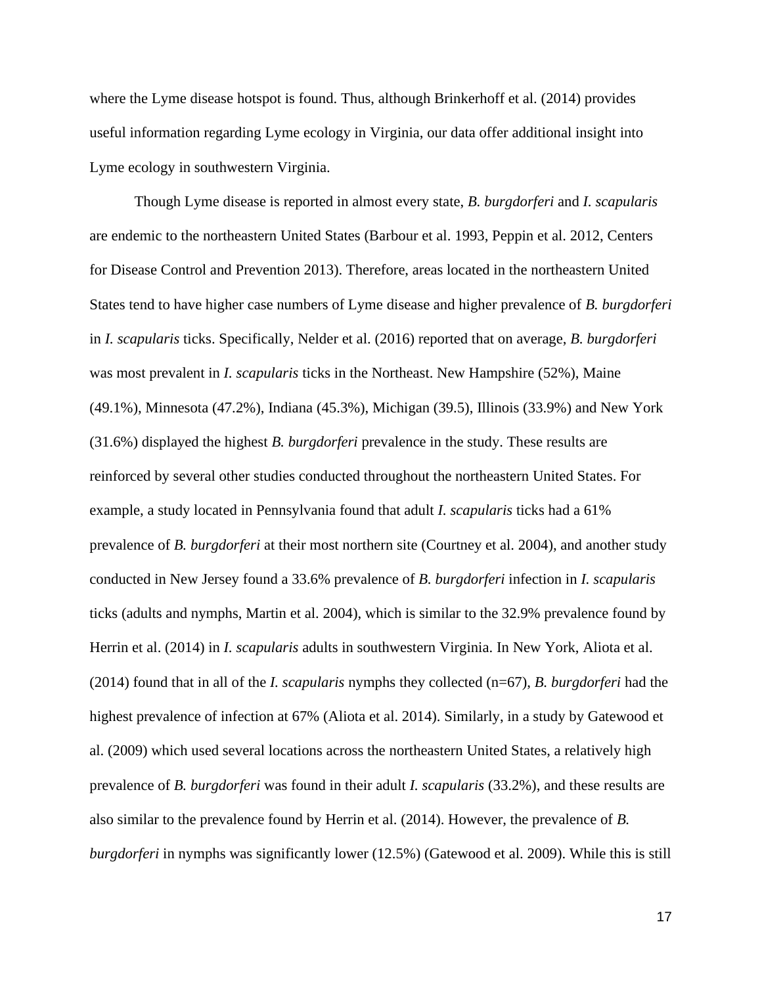where the Lyme disease hotspot is found. Thus, although Brinkerhoff et al. (2014) provides useful information regarding Lyme ecology in Virginia, our data offer additional insight into Lyme ecology in southwestern Virginia.

Though Lyme disease is reported in almost every state, *B. burgdorferi* and *I. scapularis* are endemic to the northeastern United States (Barbour et al. 1993, Peppin et al. 2012, Centers for Disease Control and Prevention 2013). Therefore, areas located in the northeastern United States tend to have higher case numbers of Lyme disease and higher prevalence of *B. burgdorferi* in *I. scapularis* ticks. Specifically, Nelder et al. (2016) reported that on average, *B. burgdorferi* was most prevalent in *I. scapularis* ticks in the Northeast. New Hampshire (52%), Maine (49.1%), Minnesota (47.2%), Indiana (45.3%), Michigan (39.5), Illinois (33.9%) and New York (31.6%) displayed the highest *B. burgdorferi* prevalence in the study. These results are reinforced by several other studies conducted throughout the northeastern United States. For example, a study located in Pennsylvania found that adult *I. scapularis* ticks had a 61% prevalence of *B. burgdorferi* at their most northern site (Courtney et al. 2004), and another study conducted in New Jersey found a 33.6% prevalence of *B. burgdorferi* infection in *I. scapularis*  ticks (adults and nymphs, Martin et al. 2004), which is similar to the 32.9% prevalence found by Herrin et al. (2014) in *I. scapularis* adults in southwestern Virginia. In New York, Aliota et al. (2014) found that in all of the *I. scapularis* nymphs they collected (n=67), *B. burgdorferi* had the highest prevalence of infection at 67% (Aliota et al. 2014). Similarly, in a study by Gatewood et al. (2009) which used several locations across the northeastern United States, a relatively high prevalence of *B. burgdorferi* was found in their adult *I. scapularis* (33.2%), and these results are also similar to the prevalence found by Herrin et al. (2014). However, the prevalence of *B. burgdorferi* in nymphs was significantly lower (12.5%) (Gatewood et al. 2009). While this is still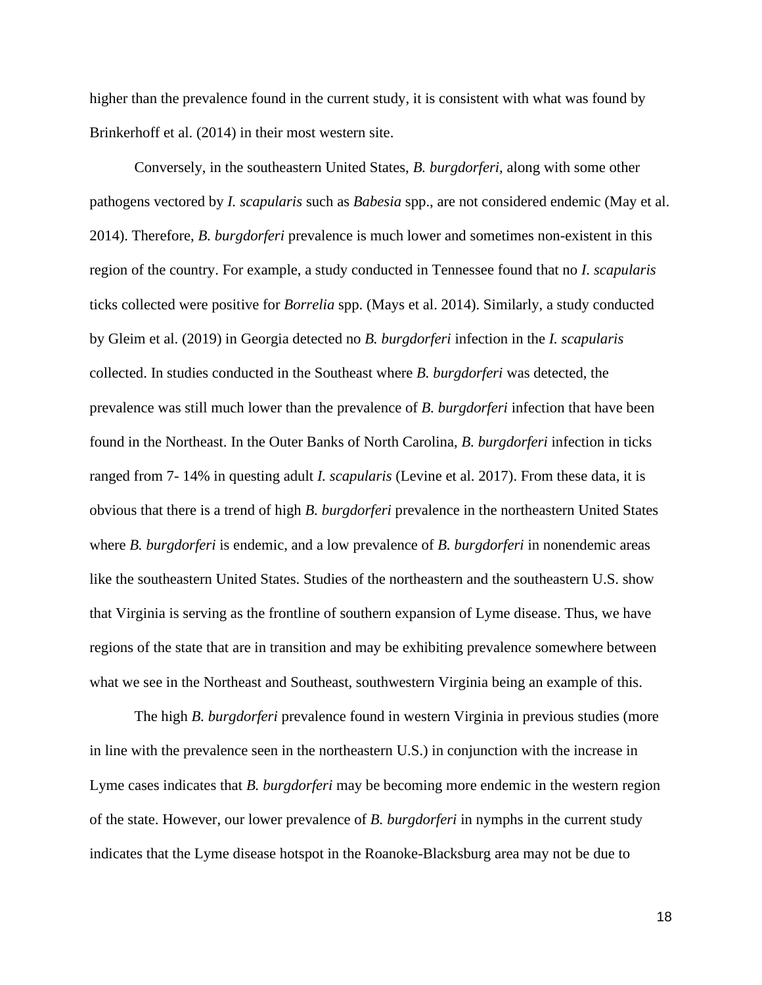higher than the prevalence found in the current study, it is consistent with what was found by Brinkerhoff et al. (2014) in their most western site.

Conversely, in the southeastern United States, *B. burgdorferi,* along with some other pathogens vectored by *I. scapularis* such as *Babesia* spp., are not considered endemic (May et al. 2014). Therefore, *B. burgdorferi* prevalence is much lower and sometimes non-existent in this region of the country. For example, a study conducted in Tennessee found that no *I. scapularis* ticks collected were positive for *Borrelia* spp. (Mays et al. 2014). Similarly, a study conducted by Gleim et al. (2019) in Georgia detected no *B. burgdorferi* infection in the *I. scapularis* collected. In studies conducted in the Southeast where *B. burgdorferi* was detected, the prevalence was still much lower than the prevalence of *B. burgdorferi* infection that have been found in the Northeast. In the Outer Banks of North Carolina, *B. burgdorferi* infection in ticks ranged from 7- 14% in questing adult *I. scapularis* (Levine et al. 2017). From these data, it is obvious that there is a trend of high *B. burgdorferi* prevalence in the northeastern United States where *B. burgdorferi* is endemic, and a low prevalence of *B. burgdorferi* in nonendemic areas like the southeastern United States. Studies of the northeastern and the southeastern U.S. show that Virginia is serving as the frontline of southern expansion of Lyme disease. Thus, we have regions of the state that are in transition and may be exhibiting prevalence somewhere between what we see in the Northeast and Southeast, southwestern Virginia being an example of this.

The high *B. burgdorferi* prevalence found in western Virginia in previous studies (more in line with the prevalence seen in the northeastern U.S.) in conjunction with the increase in Lyme cases indicates that *B. burgdorferi* may be becoming more endemic in the western region of the state. However, our lower prevalence of *B. burgdorferi* in nymphs in the current study indicates that the Lyme disease hotspot in the Roanoke-Blacksburg area may not be due to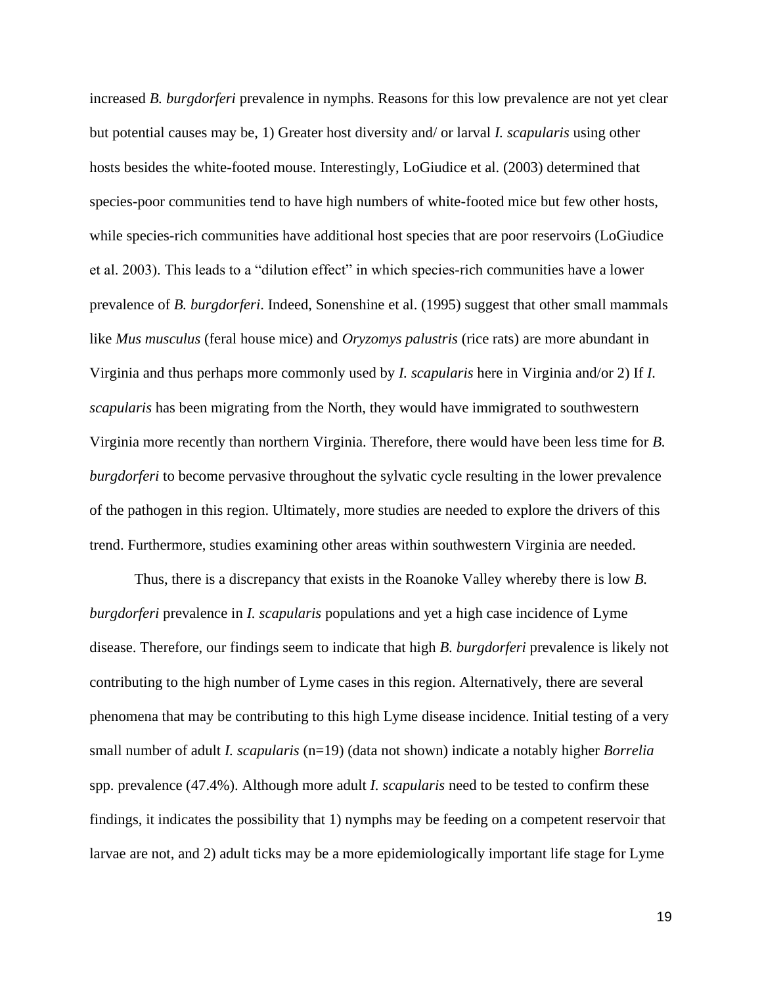increased *B. burgdorferi* prevalence in nymphs. Reasons for this low prevalence are not yet clear but potential causes may be, 1) Greater host diversity and/ or larval *I. scapularis* using other hosts besides the white-footed mouse. Interestingly, LoGiudice et al. (2003) determined that species-poor communities tend to have high numbers of white-footed mice but few other hosts, while species-rich communities have additional host species that are poor reservoirs (LoGiudice et al. 2003). This leads to a "dilution effect" in which species-rich communities have a lower prevalence of *B. burgdorferi*. Indeed, Sonenshine et al. (1995) suggest that other small mammals like *Mus musculus* (feral house mice) and *Oryzomys palustris* (rice rats) are more abundant in Virginia and thus perhaps more commonly used by *I. scapularis* here in Virginia and/or 2) If *I. scapularis* has been migrating from the North, they would have immigrated to southwestern Virginia more recently than northern Virginia. Therefore, there would have been less time for *B. burgdorferi* to become pervasive throughout the sylvatic cycle resulting in the lower prevalence of the pathogen in this region. Ultimately, more studies are needed to explore the drivers of this trend. Furthermore, studies examining other areas within southwestern Virginia are needed.

Thus, there is a discrepancy that exists in the Roanoke Valley whereby there is low *B. burgdorferi* prevalence in *I. scapularis* populations and yet a high case incidence of Lyme disease. Therefore, our findings seem to indicate that high *B. burgdorferi* prevalence is likely not contributing to the high number of Lyme cases in this region. Alternatively, there are several phenomena that may be contributing to this high Lyme disease incidence. Initial testing of a very small number of adult *I. scapularis* (n=19) (data not shown) indicate a notably higher *Borrelia* spp. prevalence (47.4%). Although more adult *I. scapularis* need to be tested to confirm these findings, it indicates the possibility that 1) nymphs may be feeding on a competent reservoir that larvae are not, and 2) adult ticks may be a more epidemiologically important life stage for Lyme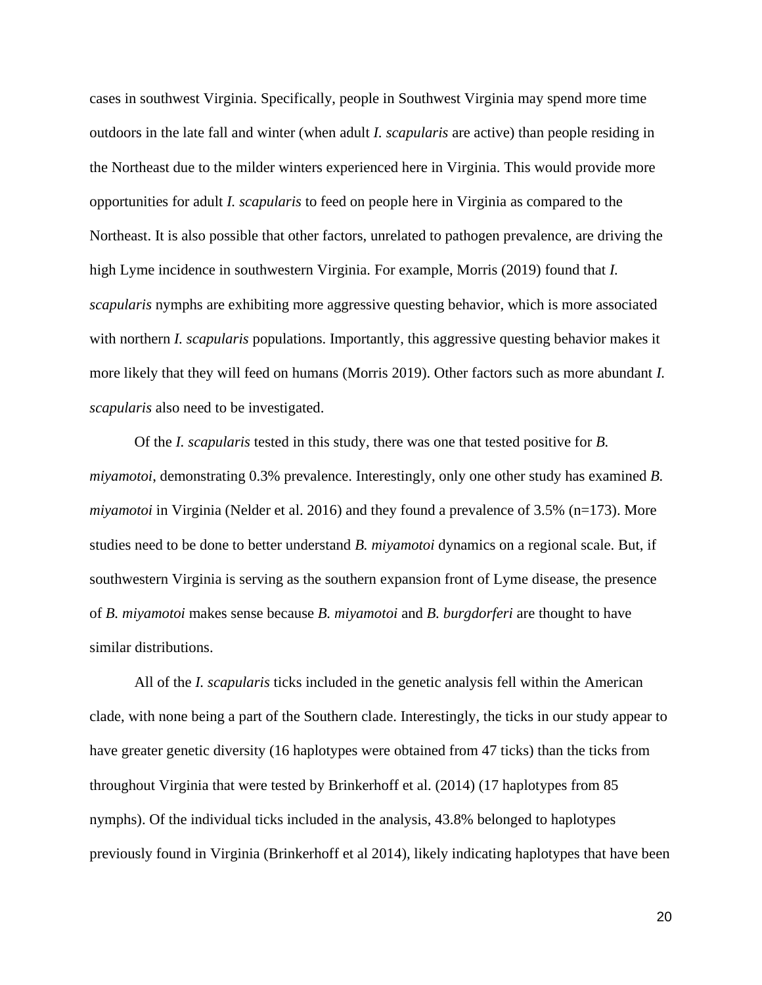cases in southwest Virginia. Specifically, people in Southwest Virginia may spend more time outdoors in the late fall and winter (when adult *I. scapularis* are active) than people residing in the Northeast due to the milder winters experienced here in Virginia. This would provide more opportunities for adult *I. scapularis* to feed on people here in Virginia as compared to the Northeast. It is also possible that other factors, unrelated to pathogen prevalence, are driving the high Lyme incidence in southwestern Virginia. For example, Morris (2019) found that *I. scapularis* nymphs are exhibiting more aggressive questing behavior, which is more associated with northern *I. scapularis* populations. Importantly, this aggressive questing behavior makes it more likely that they will feed on humans (Morris 2019). Other factors such as more abundant *I. scapularis* also need to be investigated.

Of the *I. scapularis* tested in this study, there was one that tested positive for *B. miyamotoi*, demonstrating 0.3% prevalence. Interestingly, only one other study has examined *B. miyamotoi* in Virginia (Nelder et al. 2016) and they found a prevalence of 3.5% (n=173). More studies need to be done to better understand *B. miyamotoi* dynamics on a regional scale. But, if southwestern Virginia is serving as the southern expansion front of Lyme disease, the presence of *B. miyamotoi* makes sense because *B. miyamotoi* and *B. burgdorferi* are thought to have similar distributions.

All of the *I. scapularis* ticks included in the genetic analysis fell within the American clade, with none being a part of the Southern clade. Interestingly, the ticks in our study appear to have greater genetic diversity (16 haplotypes were obtained from 47 ticks) than the ticks from throughout Virginia that were tested by Brinkerhoff et al. (2014) (17 haplotypes from 85 nymphs). Of the individual ticks included in the analysis, 43.8% belonged to haplotypes previously found in Virginia (Brinkerhoff et al 2014), likely indicating haplotypes that have been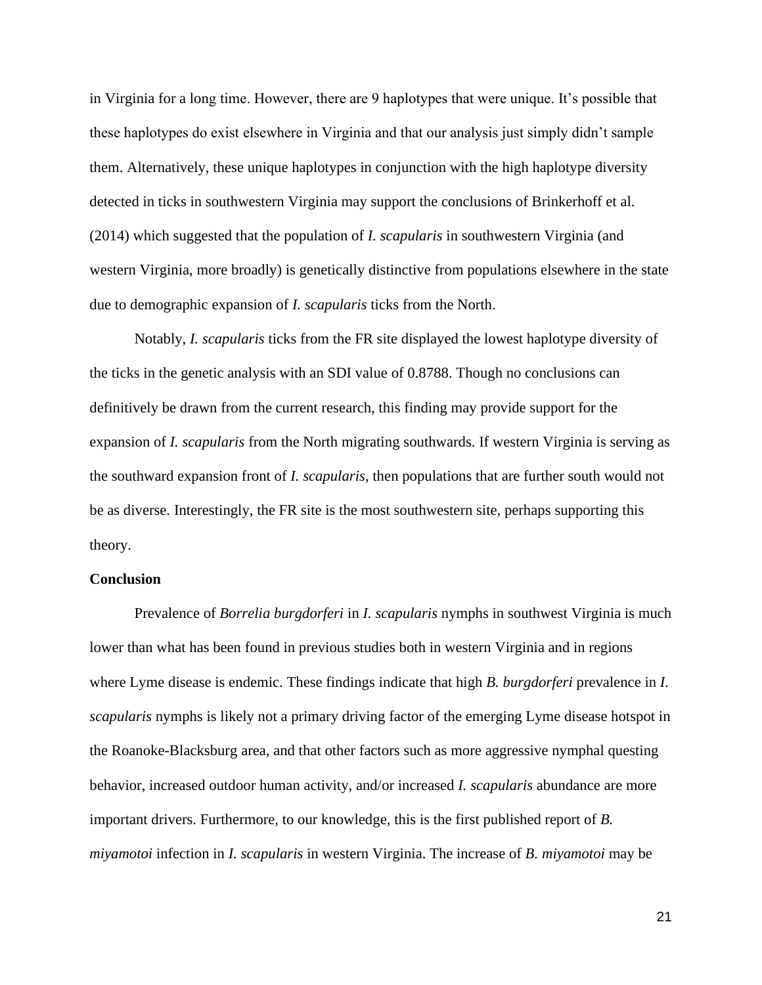in Virginia for a long time. However, there are 9 haplotypes that were unique. It's possible that these haplotypes do exist elsewhere in Virginia and that our analysis just simply didn't sample them. Alternatively, these unique haplotypes in conjunction with the high haplotype diversity detected in ticks in southwestern Virginia may support the conclusions of Brinkerhoff et al. (2014) which suggested that the population of *I. scapularis* in southwestern Virginia (and western Virginia, more broadly) is genetically distinctive from populations elsewhere in the state due to demographic expansion of *I. scapularis* ticks from the North.

Notably, *I. scapularis* ticks from the FR site displayed the lowest haplotype diversity of the ticks in the genetic analysis with an SDI value of 0.8788. Though no conclusions can definitively be drawn from the current research, this finding may provide support for the expansion of *I. scapularis* from the North migrating southwards. If western Virginia is serving as the southward expansion front of *I. scapularis*, then populations that are further south would not be as diverse. Interestingly, the FR site is the most southwestern site, perhaps supporting this theory.

#### <span id="page-24-0"></span>**Conclusion**

Prevalence of *Borrelia burgdorferi* in *I. scapularis* nymphs in southwest Virginia is much lower than what has been found in previous studies both in western Virginia and in regions where Lyme disease is endemic. These findings indicate that high *B. burgdorferi* prevalence in *I. scapularis* nymphs is likely not a primary driving factor of the emerging Lyme disease hotspot in the Roanoke-Blacksburg area, and that other factors such as more aggressive nymphal questing behavior, increased outdoor human activity, and/or increased *I. scapularis* abundance are more important drivers. Furthermore, to our knowledge, this is the first published report of *B. miyamotoi* infection in *I. scapularis* in western Virginia. The increase of *B. miyamotoi* may be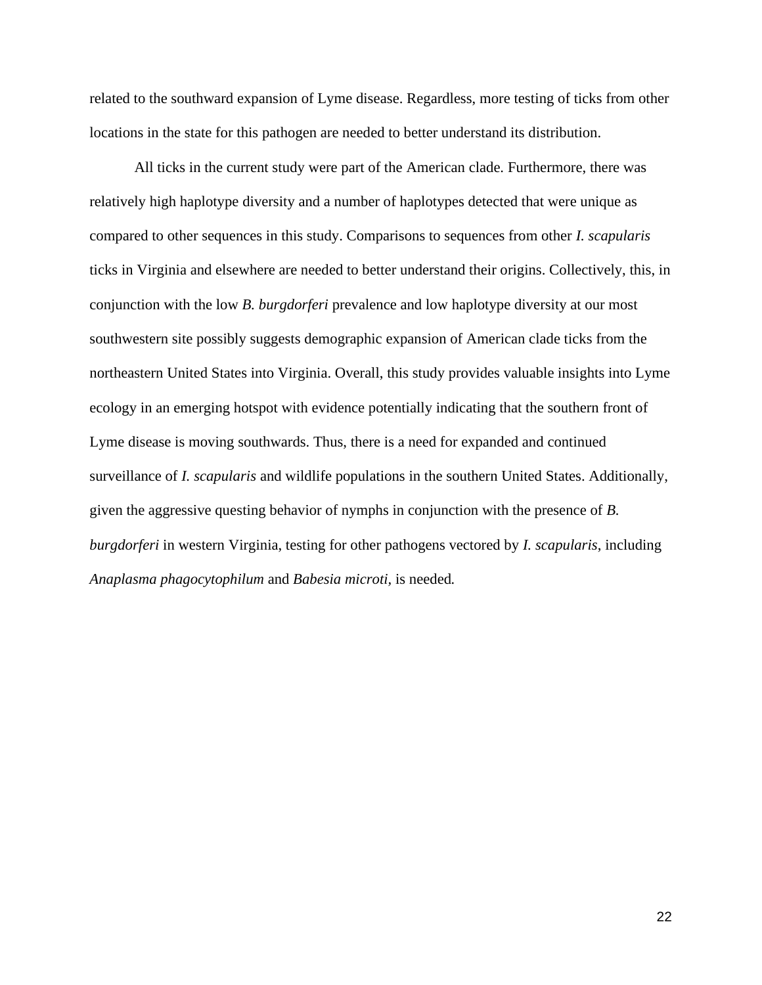related to the southward expansion of Lyme disease. Regardless, more testing of ticks from other locations in the state for this pathogen are needed to better understand its distribution.

All ticks in the current study were part of the American clade. Furthermore, there was relatively high haplotype diversity and a number of haplotypes detected that were unique as compared to other sequences in this study. Comparisons to sequences from other *I. scapularis* ticks in Virginia and elsewhere are needed to better understand their origins. Collectively, this, in conjunction with the low *B. burgdorferi* prevalence and low haplotype diversity at our most southwestern site possibly suggests demographic expansion of American clade ticks from the northeastern United States into Virginia. Overall, this study provides valuable insights into Lyme ecology in an emerging hotspot with evidence potentially indicating that the southern front of Lyme disease is moving southwards. Thus, there is a need for expanded and continued surveillance of *I. scapularis* and wildlife populations in the southern United States. Additionally, given the aggressive questing behavior of nymphs in conjunction with the presence of *B. burgdorferi* in western Virginia, testing for other pathogens vectored by *I. scapularis*, including *Anaplasma phagocytophilum* and *Babesia microti,* is needed*.*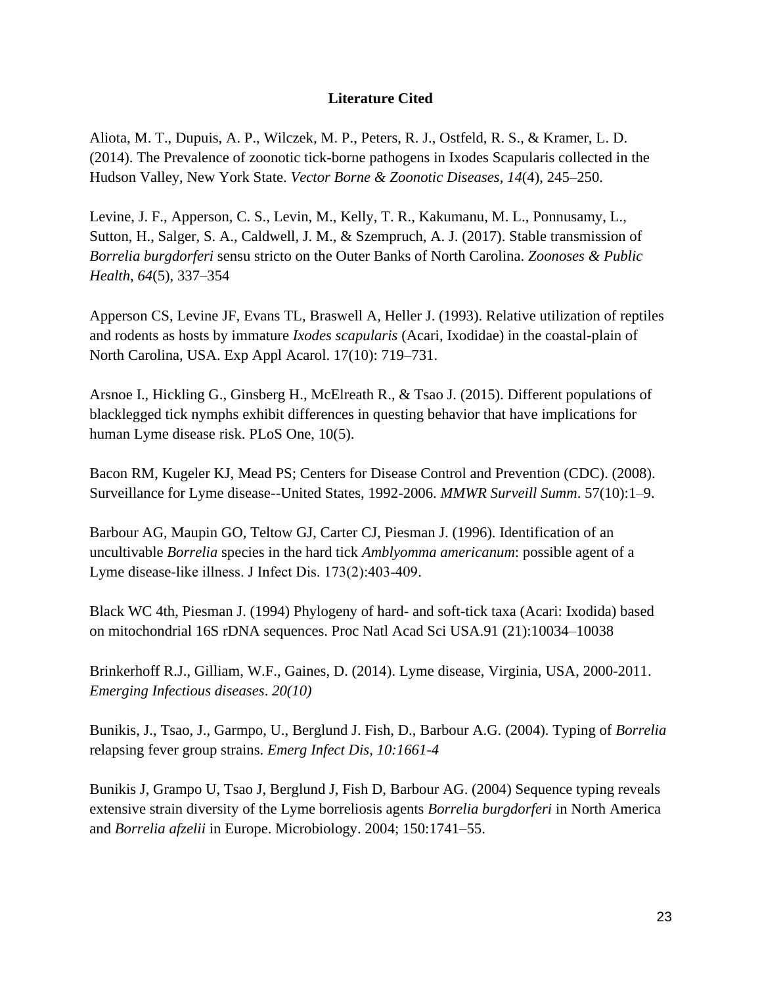## **Literature Cited**

Aliota, M. T., Dupuis, A. P., Wilczek, M. P., Peters, R. J., Ostfeld, R. S., & Kramer, L. D. (2014). The Prevalence of zoonotic tick-borne pathogens in Ixodes Scapularis collected in the Hudson Valley, New York State. *Vector Borne & Zoonotic Diseases*, *14*(4), 245–250.

Levine, J. F., Apperson, C. S., Levin, M., Kelly, T. R., Kakumanu, M. L., Ponnusamy, L., Sutton, H., Salger, S. A., Caldwell, J. M., & Szempruch, A. J. (2017). Stable transmission of *Borrelia burgdorferi* sensu stricto on the Outer Banks of North Carolina. *Zoonoses & Public Health*, *64*(5), 337–354

Apperson CS, Levine JF, Evans TL, Braswell A, Heller J. (1993). Relative utilization of reptiles and rodents as hosts by immature *Ixodes scapularis* (Acari, Ixodidae) in the coastal-plain of North Carolina, USA. Exp Appl Acarol. 17(10): 719–731.

Arsnoe I., Hickling G., Ginsberg H., McElreath R., & Tsao J. (2015). Different populations of blacklegged tick nymphs exhibit differences in questing behavior that have implications for human Lyme disease risk. PLoS One, 10(5).

Bacon RM, Kugeler KJ, Mead PS; Centers for Disease Control and Prevention (CDC). (2008). Surveillance for Lyme disease--United States, 1992-2006. *MMWR Surveill Summ*. 57(10):1–9.

Barbour AG, Maupin GO, Teltow GJ, Carter CJ, Piesman J. (1996). Identification of an uncultivable *Borrelia* species in the hard tick *Amblyomma americanum*: possible agent of a Lyme disease-like illness. J Infect Dis. 173(2):403‐409.

Black WC 4th, Piesman J. (1994) Phylogeny of hard- and soft-tick taxa (Acari: Ixodida) based on mitochondrial 16S rDNA sequences. Proc Natl Acad Sci USA.91 (21):10034–10038

Brinkerhoff R.J., Gilliam, W.F., Gaines, D. (2014). Lyme disease, Virginia, USA, 2000-2011. *Emerging Infectious diseases*. *20(10)*

Bunikis, J., Tsao, J., Garmpo, U., Berglund J. Fish, D., Barbour A.G. (2004). Typing of *Borrelia* relapsing fever group strains. *Emerg Infect Dis, 10:1661-4*

Bunikis J, Grampo U, Tsao J, Berglund J, Fish D, Barbour AG. (2004) Sequence typing reveals extensive strain diversity of the Lyme borreliosis agents *Borrelia burgdorferi* in North America and *Borrelia afzelii* in Europe. Microbiology. 2004; 150:1741–55.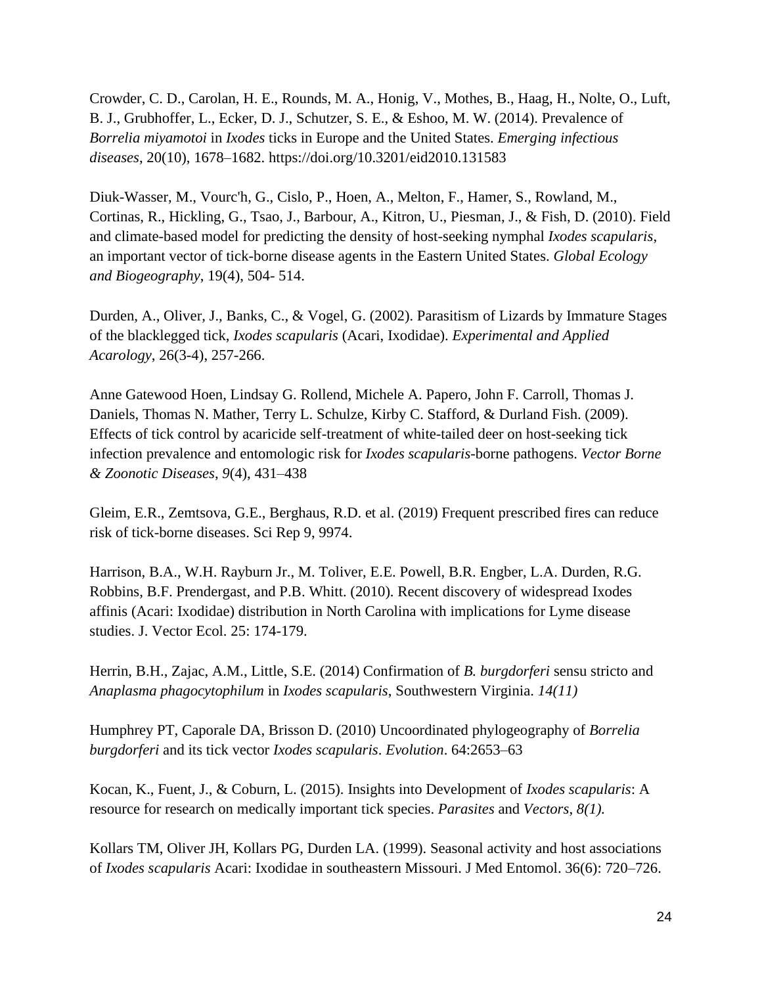Crowder, C. D., Carolan, H. E., Rounds, M. A., Honig, V., Mothes, B., Haag, H., Nolte, O., Luft, B. J., Grubhoffer, L., Ecker, D. J., Schutzer, S. E., & Eshoo, M. W. (2014). Prevalence of *Borrelia miyamotoi* in *Ixodes* ticks in Europe and the United States. *Emerging infectious diseases*, 20(10), 1678–1682. https://doi.org/10.3201/eid2010.131583

Diuk-Wasser, M., Vourc'h, G., Cislo, P., Hoen, A., Melton, F., Hamer, S., Rowland, M., Cortinas, R., Hickling, G., Tsao, J., Barbour, A., Kitron, U., Piesman, J., & Fish, D. (2010). Field and climate-based model for predicting the density of host-seeking nymphal *Ixodes scapularis*, an important vector of tick-borne disease agents in the Eastern United States. *Global Ecology and Biogeography*, 19(4), 504- 514.

Durden, A., Oliver, J., Banks, C., & Vogel, G. (2002). Parasitism of Lizards by Immature Stages of the blacklegged tick, *Ixodes scapularis* (Acari, Ixodidae). *Experimental and Applied Acarology*, 26(3-4), 257-266.

Anne Gatewood Hoen, Lindsay G. Rollend, Michele A. Papero, John F. Carroll, Thomas J. Daniels, Thomas N. Mather, Terry L. Schulze, Kirby C. Stafford, & Durland Fish. (2009). Effects of tick control by acaricide self-treatment of white-tailed deer on host-seeking tick infection prevalence and entomologic risk for *Ixodes scapularis*-borne pathogens. *Vector Borne & Zoonotic Diseases*, *9*(4), 431–438

Gleim, E.R., Zemtsova, G.E., Berghaus, R.D. et al. (2019) Frequent prescribed fires can reduce risk of tick-borne diseases. Sci Rep 9, 9974.

Harrison, B.A., W.H. Rayburn Jr., M. Toliver, E.E. Powell, B.R. Engber, L.A. Durden, R.G. Robbins, B.F. Prendergast, and P.B. Whitt. (2010). Recent discovery of widespread Ixodes affinis (Acari: Ixodidae) distribution in North Carolina with implications for Lyme disease studies. J. Vector Ecol. 25: 174-179.

Herrin, B.H., Zajac, A.M., Little, S.E. (2014) Confirmation of *B. burgdorferi* sensu stricto and *Anaplasma phagocytophilum* in *Ixodes scapularis*, Southwestern Virginia. *14(11)*

Humphrey PT, Caporale DA, Brisson D. (2010) Uncoordinated phylogeography of *Borrelia burgdorferi* and its tick vector *Ixodes scapularis*. *Evolution*. 64:2653–63

Kocan, K., Fuent, J., & Coburn, L. (2015). Insights into Development of *Ixodes scapularis*: A resource for research on medically important tick species. *Parasites* and *Vectors*, *8(1).*

Kollars TM, Oliver JH, Kollars PG, Durden LA. (1999). Seasonal activity and host associations of *Ixodes scapularis* Acari: Ixodidae in southeastern Missouri. J Med Entomol. 36(6): 720–726.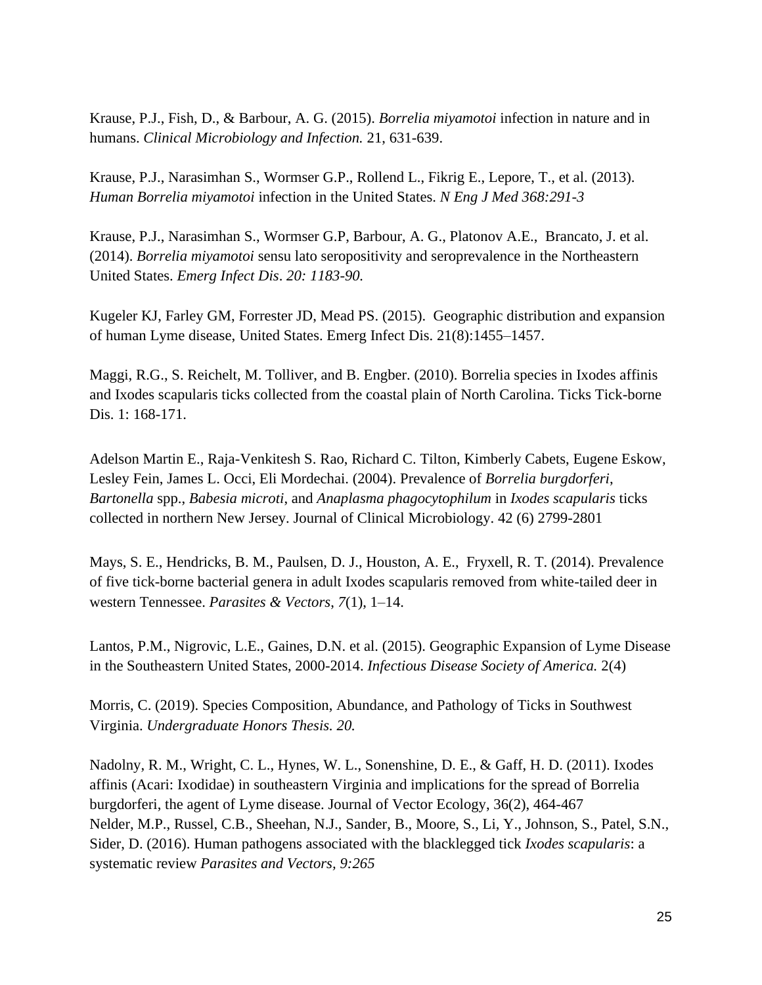Krause, P.J., Fish, D., & Barbour, A. G. (2015). *Borrelia miyamotoi* infection in nature and in humans. *Clinical Microbiology and Infection.* 21, 631-639.

Krause, P.J., Narasimhan S., Wormser G.P., Rollend L., Fikrig E., Lepore, T., et al. (2013). *Human Borrelia miyamotoi* infection in the United States. *N Eng J Med 368:291-3* 

Krause, P.J., Narasimhan S., Wormser G.P, Barbour, A. G., Platonov A.E., Brancato, J. et al. (2014). *Borrelia miyamotoi* sensu lato seropositivity and seroprevalence in the Northeastern United States. *Emerg Infect Dis*. *20: 1183-90.*

Kugeler KJ, Farley GM, Forrester JD, Mead PS. (2015). Geographic distribution and expansion of human Lyme disease, United States. Emerg Infect Dis. 21(8):1455–1457.

Maggi, R.G., S. Reichelt, M. Tolliver, and B. Engber. (2010). Borrelia species in Ixodes affinis and Ixodes scapularis ticks collected from the coastal plain of North Carolina. Ticks Tick-borne Dis. 1: 168-171.

Adelson Martin E., Raja-Venkitesh S. Rao, Richard C. Tilton, Kimberly Cabets, Eugene Eskow, Lesley Fein, James L. Occi, Eli Mordechai. (2004). Prevalence of *Borrelia burgdorferi*, *Bartonella* spp., *Babesia microti*, and *Anaplasma phagocytophilum* in *Ixodes scapularis* ticks collected in northern New Jersey. Journal of Clinical Microbiology. 42 (6) 2799-2801

Mays, S. E., Hendricks, B. M., Paulsen, D. J., Houston, A. E., Fryxell, R. T. (2014). Prevalence of five tick-borne bacterial genera in adult Ixodes scapularis removed from white-tailed deer in western Tennessee. *Parasites & Vectors*, *7*(1), 1–14.

Lantos, P.M., Nigrovic, L.E., Gaines, D.N. et al. (2015). Geographic Expansion of Lyme Disease in the Southeastern United States, 2000-2014. *Infectious Disease Society of America.* 2(4)

Morris, C. (2019). Species Composition, Abundance, and Pathology of Ticks in Southwest Virginia. *Undergraduate Honors Thesis. 20.*

Nadolny, R. M., Wright, C. L., Hynes, W. L., Sonenshine, D. E., & Gaff, H. D. (2011). Ixodes affinis (Acari: Ixodidae) in southeastern Virginia and implications for the spread of Borrelia burgdorferi, the agent of Lyme disease. Journal of Vector Ecology, 36(2), 464-467 Nelder, M.P., Russel, C.B., Sheehan, N.J., Sander, B., Moore, S., Li, Y., Johnson, S., Patel, S.N., Sider, D. (2016). Human pathogens associated with the blacklegged tick *Ixodes scapularis*: a systematic review *Parasites and Vectors, 9:265*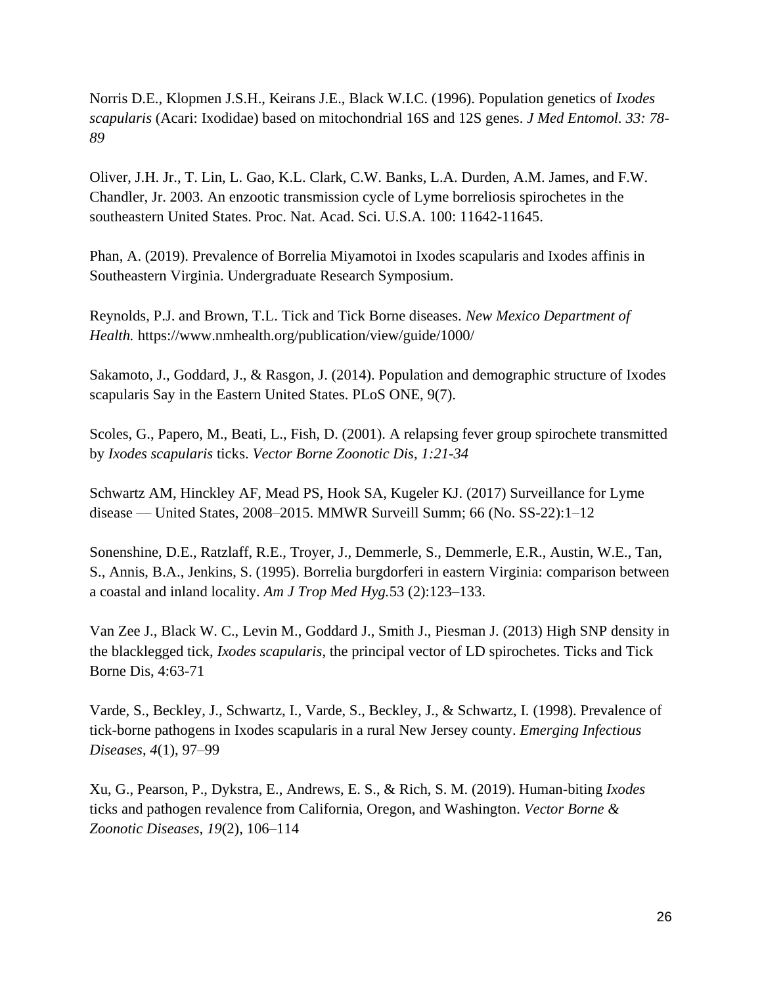Norris D.E., Klopmen J.S.H., Keirans J.E., Black W.I.C. (1996). Population genetics of *Ixodes scapularis* (Acari: Ixodidae) based on mitochondrial 16S and 12S genes. *J Med Entomol. 33: 78- 89*

Oliver, J.H. Jr., T. Lin, L. Gao, K.L. Clark, C.W. Banks, L.A. Durden, A.M. James, and F.W. Chandler, Jr. 2003. An enzootic transmission cycle of Lyme borreliosis spirochetes in the southeastern United States. Proc. Nat. Acad. Sci. U.S.A. 100: 11642-11645.

Phan, A. (2019). Prevalence of Borrelia Miyamotoi in Ixodes scapularis and Ixodes affinis in Southeastern Virginia. Undergraduate Research Symposium.

Reynolds, P.J. and Brown, T.L. Tick and Tick Borne diseases. *New Mexico Department of Health.* https://www.nmhealth.org/publication/view/guide/1000/

Sakamoto, J., Goddard, J., & Rasgon, J. (2014). Population and demographic structure of Ixodes scapularis Say in the Eastern United States. PLoS ONE, 9(7).

Scoles, G., Papero, M., Beati, L., Fish, D. (2001). A relapsing fever group spirochete transmitted by *Ixodes scapularis* ticks. *Vector Borne Zoonotic Dis*, *1:21-34*

Schwartz AM, Hinckley AF, Mead PS, Hook SA, Kugeler KJ. (2017) Surveillance for Lyme disease — United States, 2008–2015. MMWR Surveill Summ; 66 (No. SS-22):1–12

Sonenshine, D.E., Ratzlaff, R.E., Troyer, J., Demmerle, S., Demmerle, E.R., Austin, W.E., Tan, S., Annis, B.A., Jenkins, S. (1995). Borrelia burgdorferi in eastern Virginia: comparison between a coastal and inland locality. *Am J Trop Med Hyg.*53 (2):123–133.

Van Zee J., Black W. C., Levin M., Goddard J., Smith J., Piesman J. (2013) High SNP density in the blacklegged tick, *Ixodes scapularis*, the principal vector of LD spirochetes. Ticks and Tick Borne Dis, 4:63-71

Varde, S., Beckley, J., Schwartz, I., Varde, S., Beckley, J., & Schwartz, I. (1998). Prevalence of tick-borne pathogens in Ixodes scapularis in a rural New Jersey county. *Emerging Infectious Diseases*, *4*(1), 97–99

Xu, G., Pearson, P., Dykstra, E., Andrews, E. S., & Rich, S. M. (2019). Human-biting *Ixodes* ticks and pathogen revalence from California, Oregon, and Washington. *Vector Borne & Zoonotic Diseases*, *19*(2), 106–114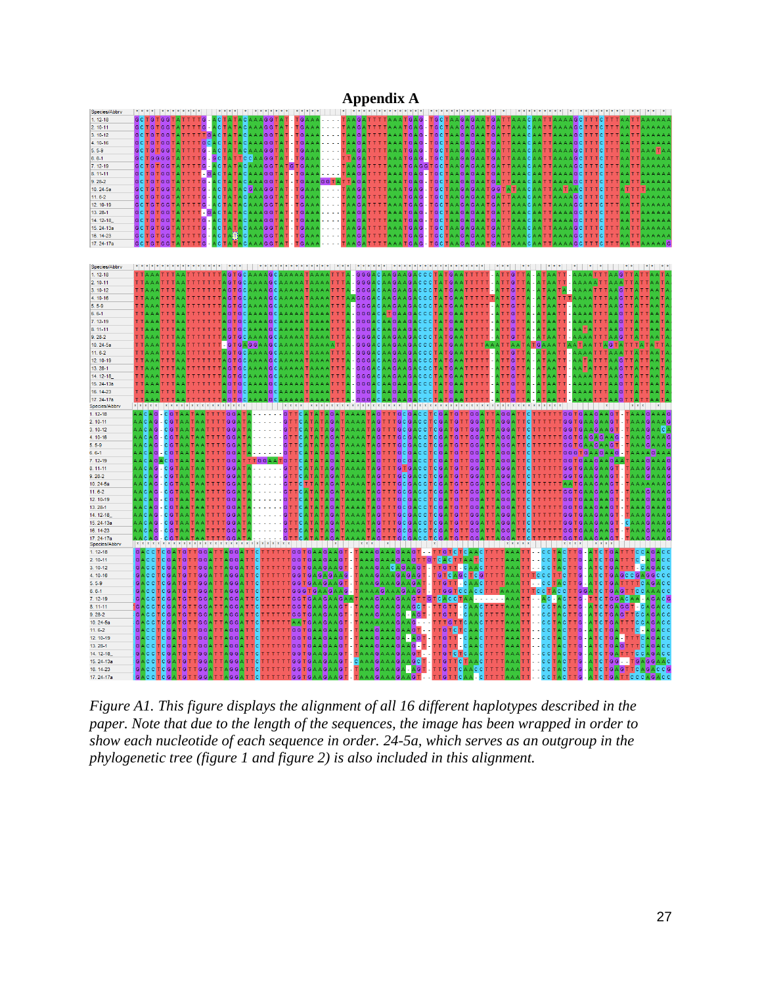| Appendix |  |  |
|----------|--|--|
|          |  |  |

| Species/Abbrv              |                                                             |                                  |                                                                  |                                                         |                                                          |
|----------------------------|-------------------------------------------------------------|----------------------------------|------------------------------------------------------------------|---------------------------------------------------------|----------------------------------------------------------|
| $1.12 - 18$                | <b>GCTGTGGT/</b>                                            | <b>GA</b>                        | TGAG                                                             | T G C                                                   |                                                          |
| $2.10 - 11$                | <b>GCTGTGGTA</b><br><b>TTG</b><br><b>CTATAC</b>             | $T$ GAA                          | <b>TGAG</b>                                                      | <b>TG</b>                                               |                                                          |
| $3.10 - 12$                | <b>GCTGTGGTA</b><br><b>TTGACTATAC</b>                       | TGAAA<br>GGTA                    | TGAG                                                             | <b>TGCTAAGAGAATG</b>                                    |                                                          |
| 4.10-16                    | <b>GCTGTGGTA</b><br><b>TGC</b>                              | TGAAA<br><b>GGTA</b>             | $\overline{C}$ $\overline{G}$ $\overline{A}$ $\overline{G}$      | <b>TGCTAAGAG</b><br>A A T G                             |                                                          |
| $5.5-9$                    | <b>GCTGTGGTA</b><br><b>CTATACAA</b>                         | TGAAA<br><b>GGTA</b>             | TGAG                                                             | <b>TGCTAAGAGAATG</b>                                    |                                                          |
| $6.6 - 1$                  | GCTGGGGTA<br>GCTAT                                          | <b>TCCAAGGTA</b><br><b>TGAAA</b> | TGAG                                                             | <b>TGC TAAGAG</b><br><b>AATG</b>                        |                                                          |
|                            | <b>GCTGTGGTA</b><br>CTATACAAAGG                             | G T G A A                        | <b>TGAGGTGC</b>                                                  | TAAQAQ                                                  |                                                          |
| 7.12-19                    |                                                             |                                  | $A \triangle G$                                                  | t G C<br>TAAGAG                                         |                                                          |
| 8.11-11                    | <b>GC</b><br><b>GGTA</b><br><b>GACTATAC</b>                 | GAAA                             | TGAG                                                             |                                                         |                                                          |
| $9.28 - 2$                 | <b>GC</b><br>CTATACAAAGGTA<br>GGTA                          | <b>GAAAGGTATTAG</b>              | $G \wedge G$                                                     | TGCTAAGAG                                               |                                                          |
| 10.24-5a                   | la ci<br>CTATACGAAGGTA<br><b>GGTA</b>                       | $TGAAA$                          | GAA                                                              | TGCTAAGAG<br>ri Gi G                                    |                                                          |
| $11.6 - 2$                 | <b>GC</b><br><b>GGTA</b>                                    | T G A A A<br><b>AAGGTA</b>       | AAG<br>GAG                                                       | T G C<br>TAAGAG                                         |                                                          |
| 12.10-19                   | <b>GC</b><br><b>GG</b>                                      | $G$ AAA<br><b>GGTA</b>           | AA<br>$G$ A G                                                    | T G C<br>TAAGAG                                         |                                                          |
| 13.28-1                    | alc.<br>GGTA<br>A C I                                       | GA A<br>GGTA                     | $G \wedge G$                                                     | r G C<br>$A \triangle G \triangle G$                    |                                                          |
| 14.12-18                   | GCI<br>GGTA<br>c l<br>'G                                    | $G$ AAA<br><b>GGTA</b>           | A.<br><b>TGAG</b>                                                | r G c<br>$\overline{\mathsf{T}}$ A A                    |                                                          |
| 15.24-13a                  | <b>GC</b><br>G G T A<br>lc l<br>TA C A A A<br><b>G</b>      | GAA<br><b>GGTA</b>               | $G$ A G                                                          | r G C<br>FA A                                           |                                                          |
| 16.14-23                   | GCTGTGGTA<br>TTTG<br>стап                                   | ACAAAGGTA<br>GAA                 | A A A<br>TGAG                                                    | TGC TAAGAGAA<br>T G J                                   | <b>GC</b>                                                |
| 17.24-17a                  | <b>GCTGTGGTA</b><br><b>CTA</b>                              | GAA.<br><b>GGTA</b>              | GAG                                                              | TGC TAAGAGAA                                            |                                                          |
|                            |                                                             |                                  |                                                                  |                                                         |                                                          |
|                            |                                                             |                                  |                                                                  |                                                         |                                                          |
| Species/Abbrv              |                                                             |                                  |                                                                  | 22                                                      | ■ 東 東 東<br>東東 東東                                         |
|                            |                                                             |                                  |                                                                  |                                                         |                                                          |
| $1.12 - 18$                |                                                             |                                  |                                                                  |                                                         |                                                          |
| $2.10 - 11$                |                                                             |                                  |                                                                  |                                                         |                                                          |
| $3.10 - 12$                |                                                             |                                  |                                                                  |                                                         | ATA                                                      |
| 4.10-16                    |                                                             |                                  |                                                                  |                                                         | <b>TA</b>                                                |
| $5.5-9$                    |                                                             |                                  |                                                                  |                                                         |                                                          |
| $6.6 - 1$                  |                                                             |                                  |                                                                  |                                                         |                                                          |
| 7.12-19                    |                                                             |                                  |                                                                  |                                                         |                                                          |
| 8.11-11                    |                                                             |                                  |                                                                  |                                                         |                                                          |
| $9.28 - 2$                 |                                                             |                                  | GGGAC                                                            |                                                         |                                                          |
| 10.24-5a                   |                                                             |                                  | GGGACAAGA<br>AGACCCTAI                                           |                                                         |                                                          |
| 11.6-2                     |                                                             |                                  | GGGACAAGAAGACCCTAT                                               | ' G                                                     |                                                          |
| 12.10-19                   |                                                             |                                  | GGGAC<br><b>AAGA</b><br><b>AGACCCTAI</b>                         | <b>G</b>                                                |                                                          |
| 13.28-1                    |                                                             |                                  | GGGAC<br><b>AAGAAGACCCTAT</b>                                    | ' G<br><b>G</b>                                         | <b>AAT</b>                                               |
| 14.12-18                   |                                                             |                                  | GGGACAAGAAGACCCTAT                                               | <b>G</b><br>' G                                         | <b>AAT</b>                                               |
| 15.24-13a                  |                                                             |                                  | GGGACAAGAAGACCCTAT                                               | <b>G</b> A<br>T G                                       | TAAT                                                     |
|                            |                                                             |                                  |                                                                  |                                                         |                                                          |
|                            |                                                             |                                  |                                                                  |                                                         |                                                          |
| 16.14-23                   |                                                             |                                  | GGGACAAGAAGACCCTATGA                                             | T <sub>G</sub><br>TQTTA                                 | <b>TAAT</b>                                              |
| 17.24-17a                  | <b>GTGC</b>                                                 |                                  | G G G<br>Acccl                                                   |                                                         |                                                          |
| Species/Abbrv              |                                                             |                                  |                                                                  |                                                         |                                                          |
| $1.12 - 18$                | AACAG<br>IGG.                                               |                                  | A TA G A TA A A A TA G T T T G C G A C C T C G A T G T T G G A T |                                                         | <b>AGGATTCTTTTTTGGT</b><br><b>GA</b><br><b>AGAAG</b>     |
| $2.10 - 11$                | <b>AACAG</b><br>c al<br>G G                                 | AGA                              | TGCGACCT<br>тас                                                  | CGATGTTGGAT<br><b>AGGATTCT</b>                          | TGGTGAAGAAG                                              |
| $3.10 - 12$                | AACI<br>A G<br>CGTAATA<br>G G                               | G T<br>AGA                       | T A G                                                            | GCGACCTCGATGTTGGA<br>AGGATTC <mark>T</mark>             | $A \overline{A}$ $B$<br><b>GG</b><br>۱G۱                 |
| 4.10-16                    | A A C<br>A G<br>CGTAAT                                      |                                  | GCGACC <sup></sup>                                               | <b>TCGA</b><br><b>TGTTGGA</b><br>AGGATTC <mark>T</mark> | <b>GG</b>                                                |
| $5.5-9$                    | AAC<br>c <sub>g</sub>                                       |                                  | <b>GCGA</b><br>c c                                               | $ c _G $<br>$T$ G G<br>GGAT                             | A A G                                                    |
| $6.6-1$                    | AAC                                                         |                                  | G C G A<br>c c                                                   | 'Ici gi<br>T G G<br>GGAT                                | <b>GGGT</b>                                              |
| $7.12 - 19$                | A A C                                                       |                                  | G C G A<br>c c                                                   | <b>CG</b><br>T G G<br>G G A T                           |                                                          |
| $8.11 - 11$                | AACI                                                        |                                  | GACC                                                             | ricisi<br>T G G<br>GGA                                  | GAAG                                                     |
| $9.28 - 2$                 | A A C I<br>A G<br>$C$ $G$ T                                 |                                  | GCGACC                                                           | <b>TCGA</b><br>T[G,G]<br><b>GGAT</b>                    | GAAG                                                     |
| 10.24-5a                   | A A C A G<br>$C$ $G$ <sup><math>7</math></sup>              |                                  | <b>GCGACC</b>                                                    | TCGA<br><b>TGG</b><br>A G G A T T C T                   | $\triangle G \triangle G$                                |
| $11.6 - 2$                 | A A C A G                                                   |                                  | GCGACC                                                           | <b>TCGA</b><br>AGGATTCI<br>r o ol                       | TGG<br><b>DAAR</b>                                       |
| 12.10-19                   | A A C A G                                                   |                                  | G C G A<br>lc.c.                                                 | ricia.<br><b>AGGATTC</b>                                | GA AG                                                    |
| 13.28-1                    | ه ۱۵ م م                                                    |                                  |                                                                  | icia.<br><b>AGGATTC</b>                                 |                                                          |
| 14.12-18                   | AACAG                                                       |                                  |                                                                  | lc a<br>GGATTC                                          | $\triangle$ $\triangle$ $\triangle$                      |
| 15.24-13a                  | AACAG                                                       |                                  |                                                                  | 'Icig<br><b>GGATTCI</b>                                 | GAA                                                      |
| 16.14-23                   | $\triangle$ $\triangle$ $\triangle$ $\triangle$ $\triangle$ |                                  |                                                                  | lc G<br><b>AGGATTC</b>                                  | AGAAG <sup>1</sup>                                       |
|                            | AACAG                                                       |                                  |                                                                  |                                                         | A G A                                                    |
| 17.24-17a<br>Species/Abbrv |                                                             |                                  |                                                                  |                                                         |                                                          |
| $1.12 - 18$                | <b>GACCTCGATGT</b>                                          | GAAG1<br>GGTGA                   | A G A A G T                                                      | TGTC                                                    | GACC<br><b>CCTACTTG</b><br><b>I C T G A T T T C C</b>    |
| $2.10 - 11$                | GACCTCGA <sup>1</sup>                                       | GAAG <sup></sup><br>1G ∆         | TAAAGAAAGAAGTTGTC                                                |                                                         | <b>ACTTG</b><br><b>TCTGATTTC-</b><br><b>SACC</b><br>c cl |
| $3.10 - 12$                | GACCTCGATG                                                  | GAAG                             | AAG                                                              | <b>T G T</b><br>$-CAAC$                                 | <b>SACC</b><br>C C<br><b>CTTG</b><br>TCTGA               |
|                            | GACCTCGATG                                                  |                                  | <b>TAAAGAA</b><br>AGAGAGI                                        | TGTCAGCTCGT                                             | TCTGAGCCGAGGCCC<br>тсест<br><b>CIT T G</b>               |
| 4.10-16                    |                                                             |                                  | TA A<br>A G A L                                                  | TTGT                                                    | <b>TCAGACC</b><br>c.c.<br>CTGAT                          |
| $5.5-9$                    | GACCTCGAT                                                   |                                  |                                                                  |                                                         |                                                          |
| $6.6-1$                    | GACCTCGA                                                    |                                  | $A$ $A$ $G$                                                      | le el<br>le e                                           | A A C C<br>le e F<br><b>TGGA</b>                         |
| 7.12-19                    | <b>GACCTCGA</b>                                             |                                  | <b>AGAAGTTGTC</b>                                                |                                                         | GACG<br>uс.<br>' ឲ ឲ                                     |
| 8.11-11                    | GACCTCGA                                                    | $A$ $G$                          | AGAAGCT.                                                         |                                                         | G A C C                                                  |
| $9.28 - 2$                 | GACCTCGA                                                    |                                  | $A$ $G$ $A$ - $A$ $G$                                            |                                                         | GACC                                                     |
| 10.24-5a                   | GACC<br><b>TCGA</b>                                         |                                  |                                                                  |                                                         | GACC                                                     |
| $11.6 - 2$                 | GACCTCGA                                                    |                                  | <b>AGAAGT</b>                                                    |                                                         | GACC<br>ICITGAT                                          |
| 12.10-19                   | <b>GACCTCGATGT</b>                                          |                                  | AAAGA - AG                                                       |                                                         | GACC<br>TCTGA-<br>ΠG                                     |
| 13.28-1                    | <b>GACCTCGATGT</b>                                          | AG                               | TAAAGAAAGAAG - T                                                 | тa                                                      | TCAGACC<br>TCTGAGT<br>T <sub>G</sub>                     |
| 14.12-18                   | GACCTCGATGTTGGAT                                            | GAAG1                            | TAAAGAAAGAAGT - - TTGTCTC                                        |                                                         | TCTGATTTCCAGACC<br><b>CCTACTTG</b>                       |
| 15.24-13a                  | GACCTCGATGTTGGATTAGGAT                                      | 'G Gl<br><b>AGAAGT</b>           | CAAAGAAAGAAGCT - TTGTTCTAACT                                     |                                                         | <b>CCTACTTG</b><br>ATCTGG - TGAGGAAC                     |
| 16.14-23                   | GACCTCGATGTTGGATTAGGAT                                      | TC TTTTTTGGTGAAGAAGT             | TAAAGAAAGA - AGT - TTGTTC                                        | <b>AACCT</b>                                            | ATCTGAGTTCAGACCG<br><b>CCTACTTG</b>                      |

*Figure A1. This figure displays the alignment of all 16 different haplotypes described in the paper. Note that due to the length of the sequences, the image has been wrapped in order to show each nucleotide of each sequence in order. 24-5a, which serves as an outgroup in the phylogenetic tree (figure 1 and figure 2) is also included in this alignment.*